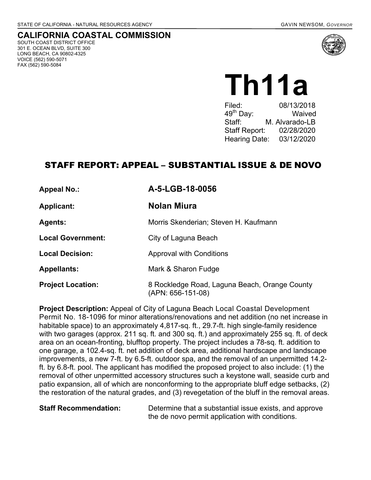## **CALIFORNIA COASTAL COMMISSION**

SOUTH COAST DISTRICT OFFICE 301 E. OCEAN BLVD, SUITE 300 LONG BEACH, CA 90802-4325 VOICE (562) 590-5071 FAX (562) 590-5084



Th11a

08/13/2018 49th Day: Waived Staff<sup>:</sup> M. Alvarado-LB Staff Report: 02/28/2020 Hearing Date: 03/12/2020

## STAFF REPORT: APPEAL – SUBSTANTIAL ISSUE & DE NOVO

**Appeal No.: A-5-LGB-18-0056 Applicant: Nolan Miura Agents: Morris Skenderian: Steven H. Kaufmann Local Government:** City of Laguna Beach **Local Decision: Approval with Conditions Appellants:** Mark & Sharon Fudge **Project Location:** 8 Rockledge Road, Laguna Beach, Orange County

**Project Description:** Appeal of City of Laguna Beach Local Coastal Development Permit No. 18-1096 for minor alterations/renovations and net addition (no net increase in habitable space) to an approximately 4,817-sq. ft., 29.7-ft. high single-family residence with two garages (approx. 211 sq. ft. and 300 sq. ft.) and approximately 255 sq. ft. of deck area on an ocean-fronting, blufftop property. The project includes a 78-sq. ft. addition to one garage, a 102.4-sq. ft. net addition of deck area, additional hardscape and landscape improvements, a new 7-ft. by 6.5-ft. outdoor spa, and the removal of an unpermitted 14.2 ft. by 6.8-ft. pool. The applicant has modified the proposed project to also include: (1) the removal of other unpermitted accessory structures such a keystone wall, seaside curb and patio expansion, all of which are nonconforming to the appropriate bluff edge setbacks, (2) the restoration of the natural grades, and (3) revegetation of the bluff in the removal areas.

(APN: 656-151-08)

**Staff Recommendation:** Determine that a substantial issue exists, and approve the de novo permit application with conditions.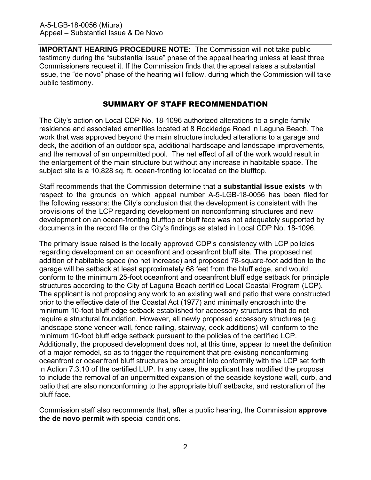**IMPORTANT HEARING PROCEDURE NOTE:** The Commission will not take public testimony during the "substantial issue" phase of the appeal hearing unless at least three Commissioners request it. If the Commission finds that the appeal raises a substantial issue, the "de novo" phase of the hearing will follow, during which the Commission will take public testimony.

## SUMMARY OF STAFF RECOMMENDATION

The City's action on Local CDP No. 18-1096 authorized alterations to a single-family residence and associated amenities located at 8 Rockledge Road in Laguna Beach. The work that was approved beyond the main structure included alterations to a garage and deck, the addition of an outdoor spa, additional hardscape and landscape improvements, and the removal of an unpermitted pool. The net effect of all of the work would result in the enlargement of the main structure but without any increase in habitable space. The subject site is a 10,828 sq. ft. ocean-fronting lot located on the blufftop.

Staff recommends that the Commission determine that a **substantial issue exists** with respect to the grounds on which appeal number A-5-LGB-18-0056 has been filed for the following reasons: the City's conclusion that the development is consistent with the provisions of the LCP regarding development on nonconforming structures and new development on an ocean-fronting blufftop or bluff face was not adequately supported by documents in the record file or the City's findings as stated in Local CDP No. 18-1096.

The primary issue raised is the locally approved CDP's consistency with LCP policies regarding development on an oceanfront and oceanfront bluff site. The proposed net addition of habitable space (no net increase) and proposed 78-square-foot addition to the garage will be setback at least approximately 68 feet from the bluff edge, and would conform to the minimum 25-foot oceanfront and oceanfront bluff edge setback for principle structures according to the City of Laguna Beach certified Local Coastal Program (LCP). The applicant is not proposing any work to an existing wall and patio that were constructed prior to the effective date of the Coastal Act (1977) and minimally encroach into the minimum 10-foot bluff edge setback established for accessory structures that do not require a structural foundation. However, all newly proposed accessory structures (e.g. landscape stone veneer wall, fence railing, stairway, deck additions) will conform to the minimum 10-foot bluff edge setback pursuant to the policies of the certified LCP. Additionally, the proposed development does not, at this time, appear to meet the definition of a major remodel, so as to trigger the requirement that pre-existing nonconforming oceanfront or oceanfront bluff structures be brought into conformity with the LCP set forth in Action 7.3.10 of the certified LUP. In any case, the applicant has modified the proposal to include the removal of an unpermitted expansion of the seaside keystone wall, curb, and patio that are also nonconforming to the appropriate bluff setbacks, and restoration of the bluff face.

Commission staff also recommends that, after a public hearing, the Commission **approve the de novo permit** with special conditions.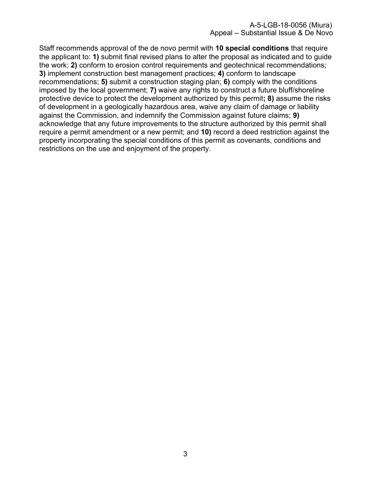Staff recommends approval of the de novo permit with **10 special conditions** that require the applicant to: **1)** submit final revised plans to alter the proposal as indicated and to guide the work; **2)** conform to erosion control requirements and geotechnical recommendations; **3)** implement construction best management practices; **4)** conform to landscape recommendations; **5)** submit a construction staging plan; **6)** comply with the conditions imposed by the local government; **7)** waive any rights to construct a future bluff/shoreline protective device to protect the development authorized by this permit**; 8)** assume the risks of development in a geologically hazardous area, waive any claim of damage or liability against the Commission, and indemnify the Commission against future claims; **9)** acknowledge that any future improvements to the structure authorized by this permit shall require a permit amendment or a new permit; and **10)** record a deed restriction against the property incorporating the special conditions of this permit as covenants, conditions and restrictions on the use and enjoyment of the property.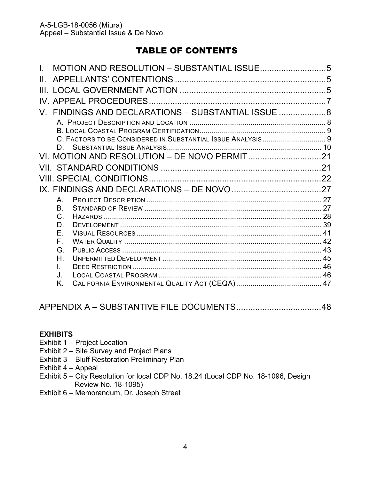# TABLE OF CONTENTS

|  |              | V. FINDINGS AND DECLARATIONS - SUBSTANTIAL ISSUE  8         |  |
|--|--------------|-------------------------------------------------------------|--|
|  |              |                                                             |  |
|  |              |                                                             |  |
|  |              | C. FACTORS TO BE CONSIDERED IN SUBSTANTIAL ISSUE ANALYSIS 9 |  |
|  | D.           |                                                             |  |
|  |              |                                                             |  |
|  |              |                                                             |  |
|  |              |                                                             |  |
|  |              |                                                             |  |
|  | A            |                                                             |  |
|  | Β.           |                                                             |  |
|  | $C_{\cdot}$  |                                                             |  |
|  | D.           |                                                             |  |
|  | E.<br>F.     |                                                             |  |
|  | G.           |                                                             |  |
|  | H.           |                                                             |  |
|  | $\mathbf{L}$ |                                                             |  |
|  | J.           |                                                             |  |
|  | Κ.           |                                                             |  |
|  |              |                                                             |  |

## [APPENDIX A – SUBSTANTIVE FILE DOCUMENTS ....................................48](#page-47-0)

## **EXHIBITS**

- Exhibit 1 Project Location
- Exhibit 2 Site Survey and Project Plans
- Exhibit 3 Bluff Restoration Preliminary Plan
- Exhibit 4 Appeal
- [Exhibit 5 City Resolution for local CDP No. 18.24 \(Local CDP No. 18-1096, Design](https://documents.coastal.ca.gov/reports/2020/3/Th11a/Th11a-3-2020-exhibits.pdf)  Review No. 18-1095)
- Exhibit 6 Memorandum, Dr. Joseph Street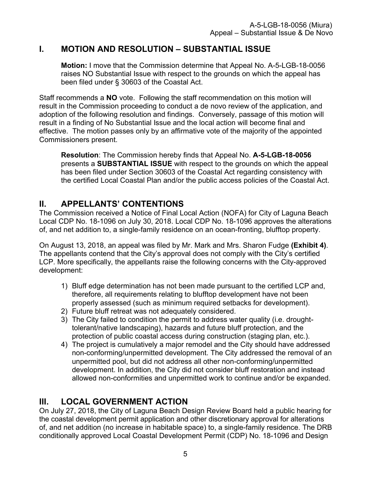# <span id="page-4-0"></span>**I. MOTION AND RESOLUTION – SUBSTANTIAL ISSUE**

**Motion:** I move that the Commission determine that Appeal No. A-5-LGB-18-0056 raises NO Substantial Issue with respect to the grounds on which the appeal has been filed under § 30603 of the Coastal Act.

Staff recommends a **NO** vote. Following the staff recommendation on this motion will result in the Commission proceeding to conduct a de novo review of the application, and adoption of the following resolution and findings. Conversely, passage of this motion will result in a finding of No Substantial Issue and the local action will become final and effective. The motion passes only by an affirmative vote of the majority of the appointed Commissioners present.

**Resolution**: The Commission hereby finds that Appeal No. **A-5-LGB-18-0056**  presents a **SUBSTANTIAL ISSUE** with respect to the grounds on which the appeal has been filed under Section 30603 of the Coastal Act regarding consistency with the certified Local Coastal Plan and/or the public access policies of the Coastal Act.

# <span id="page-4-1"></span>**II. APPELLANTS' CONTENTIONS**

The Commission received a Notice of Final Local Action (NOFA) for City of Laguna Beach Local CDP No. 18-1096 on July 30, 2018. Local CDP No. 18-1096 approves the alterations of, and net addition to, a single-family residence on an ocean-fronting, blufftop property.

On August 13, 2018, an appeal was filed by Mr. Mark and Mrs. Sharon Fudge **[\(Exhibit 4\)](https://documents.coastal.ca.gov/reports/2020/3/Th11a/Th11a-3-2020-exhibits.pdf)**. The appellants contend that the City's approval does not comply with the City's certified LCP. More specifically, the appellants raise the following concerns with the City-approved development:

- 1) Bluff edge determination has not been made pursuant to the certified LCP and, therefore, all requirements relating to blufftop development have not been properly assessed (such as minimum required setbacks for development).
- 2) Future bluff retreat was not adequately considered.
- 3) The City failed to condition the permit to address water quality (i.e. droughttolerant/native landscaping), hazards and future bluff protection, and the protection of public coastal access during construction (staging plan, etc.).
- 4) The project is cumulatively a major remodel and the City should have addressed non-conforming/unpermitted development. The City addressed the removal of an unpermitted pool, but did not address all other non-conforming/unpermitted development. In addition, the City did not consider bluff restoration and instead allowed non-conformities and unpermitted work to continue and/or be expanded.

# <span id="page-4-2"></span>**III. LOCAL GOVERNMENT ACTION**

On July 27, 2018, the City of Laguna Beach Design Review Board held a public hearing for the coastal development permit application and other discretionary approval for alterations of, and net addition (no increase in habitable space) to, a single-family residence. The DRB conditionally approved Local Coastal Development Permit (CDP) No. 18-1096 and Design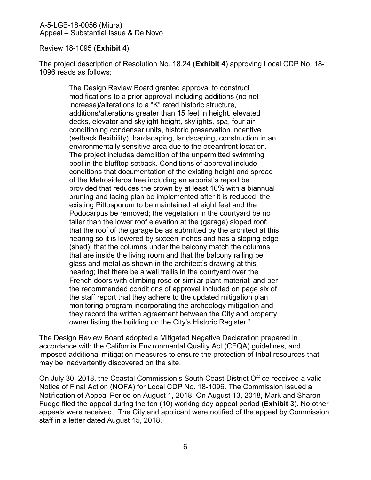Review 18-1095 (**[Exhibit 4](https://documents.coastal.ca.gov/reports/2020/3/Th11a/Th11a-3-2020-exhibits.pdf)**).

The project description of Resolution No. 18.24 (**[Exhibit 4](https://documents.coastal.ca.gov/reports/2020/3/Th11a/Th11a-3-2020-exhibits.pdf)**) approving Local CDP No. 18- 1096 reads as follows:

"The Design Review Board granted approval to construct modifications to a prior approval including additions (no net increase)/alterations to a "K" rated historic structure, additions/alterations greater than 15 feet in height, elevated decks, elevator and skylight height, skylights, spa, four air conditioning condenser units, historic preservation incentive (setback flexibility), hardscaping, landscaping, construction in an environmentally sensitive area due to the oceanfront location. The project includes demolition of the unpermitted swimming pool in the blufftop setback. Conditions of approval include conditions that documentation of the existing height and spread of the Metrosideros tree including an arborist's report be provided that reduces the crown by at least 10% with a biannual pruning and lacing plan be implemented after it is reduced; the existing Pittosporum to be maintained at eight feet and the Podocarpus be removed; the vegetation in the courtyard be no taller than the lower roof elevation at the (garage) sloped roof; that the roof of the garage be as submitted by the architect at this hearing so it is lowered by sixteen inches and has a sloping edge (shed); that the columns under the balcony match the columns that are inside the living room and that the balcony railing be glass and metal as shown in the architect's drawing at this hearing; that there be a wall trellis in the courtyard over the French doors with climbing rose or similar plant material; and per the recommended conditions of approval included on page six of the staff report that they adhere to the updated mitigation plan monitoring program incorporating the archeology mitigation and they record the written agreement between the City and property owner listing the building on the City's Historic Register."

The Design Review Board adopted a Mitigated Negative Declaration prepared in accordance with the California Environmental Quality Act (CEQA) guidelines, and imposed additional mitigation measures to ensure the protection of tribal resources that may be inadvertently discovered on the site.

On July 30, 2018, the Coastal Commission's South Coast District Office received a valid Notice of Final Action (NOFA) for Local CDP No. 18-1096. The Commission issued a Notification of Appeal Period on August 1, 2018. On August 13, 2018, Mark and Sharon Fudge filed the appeal during the ten (10) working day appeal period (**[Exhibit 3](https://documents.coastal.ca.gov/reports/2020/3/Th11a/Th11a-3-2020-exhibits.pdf)**). No other appeals were received. The City and applicant were notified of the appeal by Commission staff in a letter dated August 15, 2018.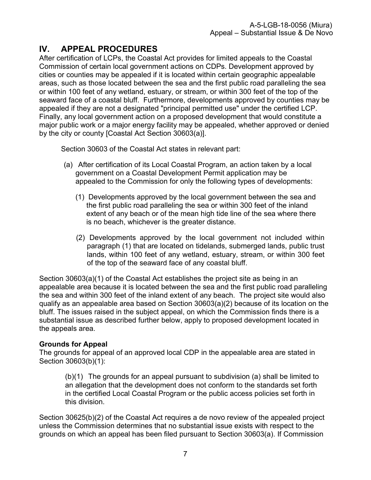# <span id="page-6-0"></span>**IV. APPEAL PROCEDURES**

After certification of LCPs, the Coastal Act provides for limited appeals to the Coastal Commission of certain local government actions on CDPs. Development approved by cities or counties may be appealed if it is located within certain geographic appealable areas, such as those located between the sea and the first public road paralleling the sea or within 100 feet of any wetland, estuary, or stream, or within 300 feet of the top of the seaward face of a coastal bluff. Furthermore, developments approved by counties may be appealed if they are not a designated "principal permitted use" under the certified LCP. Finally, any local government action on a proposed development that would constitute a major public work or a major energy facility may be appealed, whether approved or denied by the city or county [Coastal Act Section 30603(a)].

Section 30603 of the Coastal Act states in relevant part:

- (a) After certification of its Local Coastal Program, an action taken by a local government on a Coastal Development Permit application may be appealed to the Commission for only the following types of developments:
	- (1) Developments approved by the local government between the sea and the first public road paralleling the sea or within 300 feet of the inland extent of any beach or of the mean high tide line of the sea where there is no beach, whichever is the greater distance.
	- (2) Developments approved by the local government not included within paragraph (1) that are located on tidelands, submerged lands, public trust lands, within 100 feet of any wetland, estuary, stream, or within 300 feet of the top of the seaward face of any coastal bluff.

Section 30603(a)(1) of the Coastal Act establishes the project site as being in an appealable area because it is located between the sea and the first public road paralleling the sea and within 300 feet of the inland extent of any beach. The project site would also qualify as an appealable area based on Section 30603(a)(2) because of its location on the bluff. The issues raised in the subject appeal, on which the Commission finds there is a substantial issue as described further below, apply to proposed development located in the appeals area.

## **Grounds for Appeal**

The grounds for appeal of an approved local CDP in the appealable area are stated in Section 30603(b)(1):

(b)(1) The grounds for an appeal pursuant to subdivision (a) shall be limited to an allegation that the development does not conform to the standards set forth in the certified Local Coastal Program or the public access policies set forth in this division.

Section 30625(b)(2) of the Coastal Act requires a de novo review of the appealed project unless the Commission determines that no substantial issue exists with respect to the grounds on which an appeal has been filed pursuant to Section 30603(a). If Commission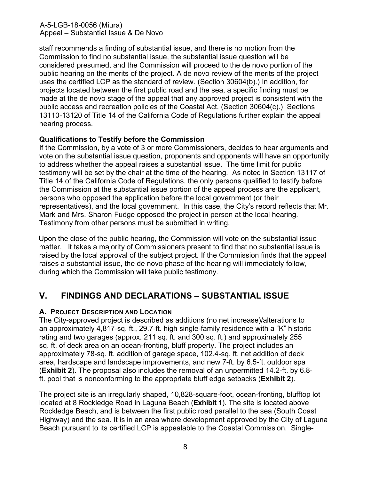staff recommends a finding of substantial issue, and there is no motion from the Commission to find no substantial issue, the substantial issue question will be considered presumed, and the Commission will proceed to the de novo portion of the public hearing on the merits of the project. A de novo review of the merits of the project uses the certified LCP as the standard of review. (Section 30604(b).) In addition, for projects located between the first public road and the sea, a specific finding must be made at the de novo stage of the appeal that any approved project is consistent with the public access and recreation policies of the Coastal Act. (Section 30604(c).) Sections 13110-13120 of Title 14 of the California Code of Regulations further explain the appeal hearing process.

## **Qualifications to Testify before the Commission**

If the Commission, by a vote of 3 or more Commissioners, decides to hear arguments and vote on the substantial issue question, proponents and opponents will have an opportunity to address whether the appeal raises a substantial issue. The time limit for public testimony will be set by the chair at the time of the hearing. As noted in Section 13117 of Title 14 of the California Code of Regulations, the only persons qualified to testify before the Commission at the substantial issue portion of the appeal process are the applicant, persons who opposed the application before the local government (or their representatives), and the local government. In this case, the City's record reflects that Mr. Mark and Mrs. Sharon Fudge opposed the project in person at the local hearing. Testimony from other persons must be submitted in writing.

Upon the close of the public hearing, the Commission will vote on the substantial issue matter. It takes a majority of Commissioners present to find that no substantial issue is raised by the local approval of the subject project. If the Commission finds that the appeal raises a substantial issue, the de novo phase of the hearing will immediately follow, during which the Commission will take public testimony.

## <span id="page-7-0"></span>**V. FINDINGS AND DECLARATIONS – SUBSTANTIAL ISSUE**

#### <span id="page-7-1"></span>**A. PROJECT DESCRIPTION AND LOCATION**

The City-approved project is described as additions (no net increase)/alterations to an approximately 4,817-sq. ft., 29.7-ft. high single-family residence with a "K" historic rating and two garages (approx. 211 sq. ft. and 300 sq. ft.) and approximately 255 sq. ft. of deck area on an ocean-fronting, bluff property. The project includes an approximately 78-sq. ft. addition of garage space, 102.4-sq. ft. net addition of deck area, hardscape and landscape improvements, and new 7-ft. by 6.5-ft. outdoor spa (**[Exhibit 2](https://documents.coastal.ca.gov/reports/2020/3/Th11a/Th11a-3-2020-exhibits.pdf)**). The proposal also includes the removal of an unpermitted 14.2-ft. by 6.8 ft. pool that is nonconforming to the appropriate bluff edge setbacks (**[Exhibit 2](https://documents.coastal.ca.gov/reports/2020/3/Th11a/Th11a-3-2020-exhibits.pdf)**).

The project site is an irregularly shaped, 10,828-square-foot, ocean-fronting, blufftop lot located at 8 Rockledge Road in Laguna Beach (**[Exhibit 1](https://documents.coastal.ca.gov/reports/2020/3/Th11a/Th11a-3-2020-exhibits.pdf)**). The site is located above Rockledge Beach, and is between the first public road parallel to the sea (South Coast Highway) and the sea. It is in an area where development approved by the City of Laguna Beach pursuant to its certified LCP is appealable to the Coastal Commission. Single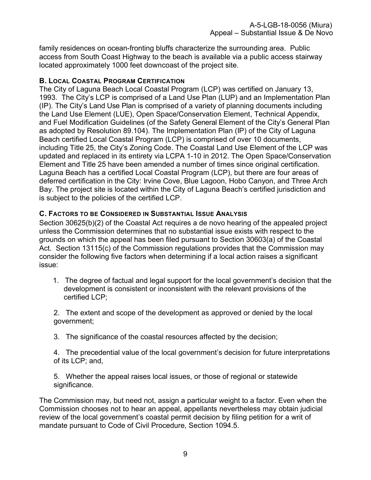family residences on ocean-fronting bluffs characterize the surrounding area. Public access from South Coast Highway to the beach is available via a public access stairway located approximately 1000 feet downcoast of the project site.

## <span id="page-8-0"></span>**B. LOCAL COASTAL PROGRAM CERTIFICATION**

The City of Laguna Beach Local Coastal Program (LCP) was certified on January 13, 1993. The City's LCP is comprised of a Land Use Plan (LUP) and an Implementation Plan (IP). The City's Land Use Plan is comprised of a variety of planning documents including the Land Use Element (LUE), Open Space/Conservation Element, Technical Appendix, and Fuel Modification Guidelines (of the Safety General Element of the City's General Plan as adopted by Resolution 89.104). The Implementation Plan (IP) of the City of Laguna Beach certified Local Coastal Program (LCP) is comprised of over 10 documents, including Title 25, the City's Zoning Code. The Coastal Land Use Element of the LCP was updated and replaced in its entirety via LCPA 1-10 in 2012. The Open Space/Conservation Element and Title 25 have been amended a number of times since original certification. Laguna Beach has a certified Local Coastal Program (LCP), but there are four areas of deferred certification in the City: Irvine Cove, Blue Lagoon, Hobo Canyon, and Three Arch Bay. The project site is located within the City of Laguna Beach's certified jurisdiction and is subject to the policies of the certified LCP.

## <span id="page-8-1"></span>**C. FACTORS TO BE CONSIDERED IN SUBSTANTIAL ISSUE ANALYSIS**

Section 30625(b)(2) of the Coastal Act requires a de novo hearing of the appealed project unless the Commission determines that no substantial issue exists with respect to the grounds on which the appeal has been filed pursuant to Section 30603(a) of the Coastal Act. Section 13115(c) of the Commission regulations provides that the Commission may consider the following five factors when determining if a local action raises a significant issue:

1. The degree of factual and legal support for the local government's decision that the development is consistent or inconsistent with the relevant provisions of the certified LCP;

2. The extent and scope of the development as approved or denied by the local government;

3. The significance of the coastal resources affected by the decision;

4. The precedential value of the local government's decision for future interpretations of its LCP; and,

5. Whether the appeal raises local issues, or those of regional or statewide significance.

The Commission may, but need not, assign a particular weight to a factor. Even when the Commission chooses not to hear an appeal, appellants nevertheless may obtain judicial review of the local government's coastal permit decision by filing petition for a writ of mandate pursuant to Code of Civil Procedure, Section 1094.5.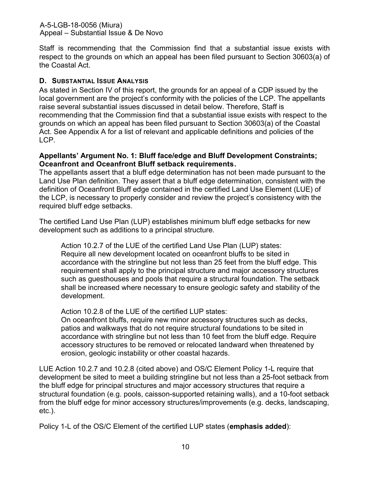Staff is recommending that the Commission find that a substantial issue exists with respect to the grounds on which an appeal has been filed pursuant to Section 30603(a) of the Coastal Act.

## <span id="page-9-0"></span>**D. SUBSTANTIAL ISSUE ANALYSIS**

As stated in Section IV of this report, the grounds for an appeal of a CDP issued by the local government are the project's conformity with the policies of the LCP. The appellants raise several substantial issues discussed in detail below. Therefore, Staff is recommending that the Commission find that a substantial issue exists with respect to the grounds on which an appeal has been filed pursuant to Section 30603(a) of the Coastal Act. See Appendix A for a list of relevant and applicable definitions and policies of the LCP.

### **Appellants' Argument No. 1: Bluff face/edge and Bluff Development Constraints; Oceanfront and Oceanfront Bluff setback requirements.**

The appellants assert that a bluff edge determination has not been made pursuant to the Land Use Plan definition. They assert that a bluff edge determination, consistent with the definition of Oceanfront Bluff edge contained in the certified Land Use Element (LUE) of the LCP, is necessary to properly consider and review the project's consistency with the required bluff edge setbacks.

The certified Land Use Plan (LUP) establishes minimum bluff edge setbacks for new development such as additions to a principal structure.

Action 10.2.7 of the LUE of the certified Land Use Plan (LUP) states: Require all new development located on oceanfront bluffs to be sited in accordance with the stringline but not less than 25 feet from the bluff edge. This requirement shall apply to the principal structure and major accessory structures such as guesthouses and pools that require a structural foundation. The setback shall be increased where necessary to ensure geologic safety and stability of the development.

Action 10.2.8 of the LUE of the certified LUP states:

On oceanfront bluffs, require new minor accessory structures such as decks, patios and walkways that do not require structural foundations to be sited in accordance with stringline but not less than 10 feet from the bluff edge. Require accessory structures to be removed or relocated landward when threatened by erosion, geologic instability or other coastal hazards.

LUE Action 10.2.7 and 10.2.8 (cited above) and OS/C Element Policy 1-L require that development be sited to meet a building stringline but not less than a 25-foot setback from the bluff edge for principal structures and major accessory structures that require a structural foundation (e.g. pools, caisson-supported retaining walls), and a 10-foot setback from the bluff edge for minor accessory structures/improvements (e.g. decks, landscaping, etc.).

Policy 1-L of the OS/C Element of the certified LUP states (**emphasis added**):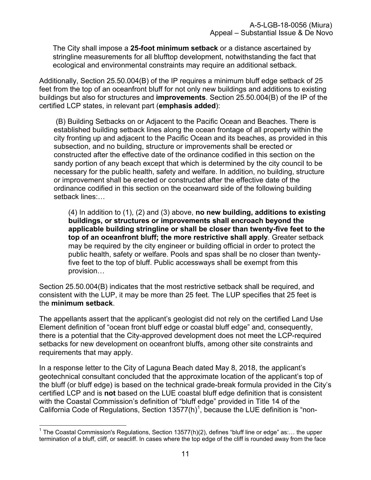The City shall impose a **25-foot minimum setback** or a distance ascertained by stringline measurements for all blufftop development, notwithstanding the fact that ecological and environmental constraints may require an additional setback.

Additionally, Section 25.50.004(B) of the IP requires a minimum bluff edge setback of 25 feet from the top of an oceanfront bluff for not only new buildings and additions to existing buildings but also for structures and **improvements**. Section 25.50.004(B) of the IP of the certified LCP states, in relevant part (**emphasis added**):

(B) Building Setbacks on or Adjacent to the Pacific Ocean and Beaches. There is established building setback lines along the ocean frontage of all property within the city fronting up and adjacent to the Pacific Ocean and its beaches, as provided in this subsection, and no building, structure or improvements shall be erected or constructed after the effective date of the ordinance codified in this section on the sandy portion of any beach except that which is determined by the city council to be necessary for the public health, safety and welfare. In addition, no building, structure or improvement shall be erected or constructed after the effective date of the ordinance codified in this section on the oceanward side of the following building setback lines:…

(4) In addition to (1), (2) and (3) above, **no new building, additions to existing buildings, or structures or improvements shall encroach beyond the applicable building stringline or shall be closer than twenty-five feet to the top of an oceanfront bluff; the more restrictive shall apply**. Greater setback may be required by the city engineer or building official in order to protect the public health, safety or welfare. Pools and spas shall be no closer than twentyfive feet to the top of bluff. Public accessways shall be exempt from this provision…

Section 25.50.004(B) indicates that the most restrictive setback shall be required, and consistent with the LUP, it may be more than 25 feet. The LUP specifies that 25 feet is the **minimum setback**.

The appellants assert that the applicant's geologist did not rely on the certified Land Use Element definition of "ocean front bluff edge or coastal bluff edge" and, consequently, there is a potential that the City-approved development does not meet the LCP-required setbacks for new development on oceanfront bluffs, among other site constraints and requirements that may apply.

In a response letter to the City of Laguna Beach dated May 8, 2018, the applicant's geotechnical consultant concluded that the approximate location of the applicant's top of the bluff (or bluff edge) is based on the technical grade-break formula provided in the City's certified LCP and is **not** based on the LUE coastal bluff edge definition that is consistent with the Coastal Commission's definition of "bluff edge" provided in Title 14 of the California Code of Regulations, Section 13577(h)<sup>1</sup>, because the LUE definition is "non-

 $\overline{\phantom{a}}$  $^{\text{1}}$  The Coastal Commission's Regulations, Section 13577(h)(2), defines "bluff line or edge" as:… the upper termination of a bluff, cliff, or seacliff. In cases where the top edge of the cliff is rounded away from the face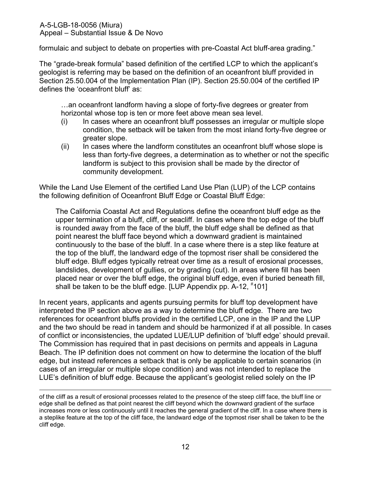formulaic and subject to debate on properties with pre-Coastal Act bluff-area grading."

The "grade-break formula" based definition of the certified LCP to which the applicant's geologist is referring may be based on the definition of an oceanfront bluff provided in Section 25.50.004 of the Implementation Plan (IP). Section 25.50.004 of the certified IP defines the 'oceanfront bluff' as:

…an oceanfront landform having a slope of forty-five degrees or greater from horizontal whose top is ten or more feet above mean sea level.

- (i) In cases where an oceanfront bluff possesses an irregular or multiple slope condition, the setback will be taken from the most inland forty-five degree or greater slope.
- (ii) In cases where the landform constitutes an oceanfront bluff whose slope is less than forty-five degrees, a determination as to whether or not the specific landform is subject to this provision shall be made by the director of community development.

While the Land Use Element of the certified Land Use Plan (LUP) of the LCP contains the following definition of Oceanfront Bluff Edge or Coastal Bluff Edge:

The California Coastal Act and Regulations define the oceanfront bluff edge as the upper termination of a bluff, cliff, or seacliff. In cases where the top edge of the bluff is rounded away from the face of the bluff, the bluff edge shall be defined as that point nearest the bluff face beyond which a downward gradient is maintained continuously to the base of the bluff. In a case where there is a step like feature at the top of the bluff, the landward edge of the topmost riser shall be considered the bluff edge. Bluff edges typically retreat over time as a result of erosional processes, landslides, development of gullies, or by grading (cut). In areas where fill has been placed near or over the bluff edge, the original bluff edge, even if buried beneath fill, shall be taken to be the bluff edge. [LUP Appendix pp. A-12, #101]

In recent years, applicants and agents pursuing permits for bluff top development have interpreted the IP section above as a way to determine the bluff edge. There are two references for oceanfront bluffs provided in the certified LCP, one in the IP and the LUP and the two should be read in tandem and should be harmonized if at all possible. In cases of conflict or inconsistencies, the updated LUE/LUP definition of 'bluff edge' should prevail. The Commission has required that in past decisions on permits and appeals in Laguna Beach. The IP definition does not comment on how to determine the location of the bluff edge, but instead references a setback that is only be applicable to certain scenarios (in cases of an irregular or multiple slope condition) and was not intended to replace the LUE's definition of bluff edge. Because the applicant's geologist relied solely on the IP

of the cliff as a result of erosional processes related to the presence of the steep cliff face, the bluff line or edge shall be defined as that point nearest the cliff beyond which the downward gradient of the surface increases more or less continuously until it reaches the general gradient of the cliff. In a case where there is a steplike feature at the top of the cliff face, the landward edge of the topmost riser shall be taken to be the cliff edge.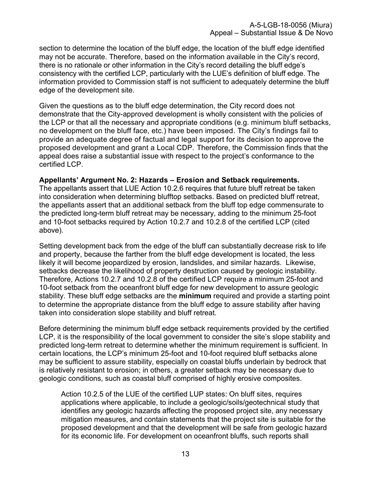section to determine the location of the bluff edge, the location of the bluff edge identified may not be accurate. Therefore, based on the information available in the City's record, there is no rationale or other information in the City's record detailing the bluff edge's consistency with the certified LCP, particularly with the LUE's definition of bluff edge. The information provided to Commission staff is not sufficient to adequately determine the bluff edge of the development site.

Given the questions as to the bluff edge determination, the City record does not demonstrate that the City-approved development is wholly consistent with the policies of the LCP or that all the necessary and appropriate conditions (e.g. minimum bluff setbacks, no development on the bluff face, etc.) have been imposed. The City's findings fail to provide an adequate degree of factual and legal support for its decision to approve the proposed development and grant a Local CDP. Therefore, the Commission finds that the appeal does raise a substantial issue with respect to the project's conformance to the certified LCP.

### **Appellants' Argument No. 2: Hazards – Erosion and Setback requirements.**

The appellants assert that LUE Action 10.2.6 requires that future bluff retreat be taken into consideration when determining blufftop setbacks. Based on predicted bluff retreat, the appellants assert that an additional setback from the bluff top edge commensurate to the predicted long-term bluff retreat may be necessary, adding to the minimum 25-foot and 10-foot setbacks required by Action 10.2.7 and 10.2.8 of the certified LCP (cited above).

Setting development back from the edge of the bluff can substantially decrease risk to life and property, because the farther from the bluff edge development is located, the less likely it will become jeopardized by erosion, landslides, and similar hazards. Likewise, setbacks decrease the likelihood of property destruction caused by geologic instability. Therefore, Actions 10.2.7 and 10.2.8 of the certified LCP require a minimum 25-foot and 10-foot setback from the oceanfront bluff edge for new development to assure geologic stability. These bluff edge setbacks are the **minimum** required and provide a starting point to determine the appropriate distance from the bluff edge to assure stability after having taken into consideration slope stability and bluff retreat.

Before determining the minimum bluff edge setback requirements provided by the certified LCP, it is the responsibility of the local government to consider the site's slope stability and predicted long-term retreat to determine whether the minimum requirement is sufficient. In certain locations, the LCP's minimum 25-foot and 10-foot required bluff setbacks alone may be sufficient to assure stability, especially on coastal bluffs underlain by bedrock that is relatively resistant to erosion; in others, a greater setback may be necessary due to geologic conditions, such as coastal bluff comprised of highly erosive composites.

Action 10.2.5 of the LUE of the certified LUP states: On bluff sites, requires applications where applicable, to include a geologic/soils/geotechnical study that identifies any geologic hazards affecting the proposed project site, any necessary mitigation measures, and contain statements that the project site is suitable for the proposed development and that the development will be safe from geologic hazard for its economic life. For development on oceanfront bluffs, such reports shall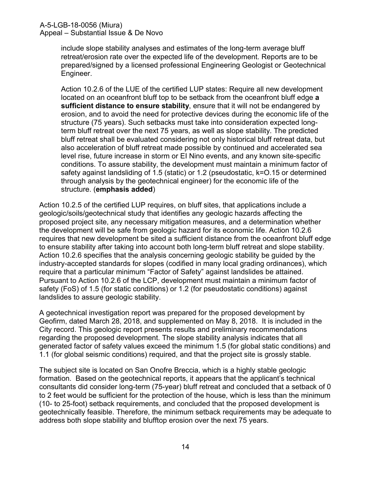include slope stability analyses and estimates of the long-term average bluff retreat/erosion rate over the expected life of the development. Reports are to be prepared/signed by a licensed professional Engineering Geologist or Geotechnical Engineer.

Action 10.2.6 of the LUE of the certified LUP states: Require all new development located on an oceanfront bluff top to be setback from the oceanfront bluff edge **a sufficient distance to ensure stability**, ensure that it will not be endangered by erosion, and to avoid the need for protective devices during the economic life of the structure (75 years). Such setbacks must take into consideration expected longterm bluff retreat over the next 75 years, as well as slope stability. The predicted bluff retreat shall be evaluated considering not only historical bluff retreat data, but also acceleration of bluff retreat made possible by continued and accelerated sea level rise, future increase in storm or EI Nino events, and any known site-specific conditions. To assure stability, the development must maintain a minimum factor of safety against landsliding of 1.5 (static) or 1.2 (pseudostatic, k=O.15 or determined through analysis by the geotechnical engineer) for the economic life of the structure. (**emphasis added**)

Action 10.2.5 of the certified LUP requires, on bluff sites, that applications include a geologic/soils/geotechnical study that identifies any geologic hazards affecting the proposed project site, any necessary mitigation measures, and a determination whether the development will be safe from geologic hazard for its economic life. Action 10.2.6 requires that new development be sited a sufficient distance from the oceanfront bluff edge to ensure stability after taking into account both long-term bluff retreat and slope stability. Action 10.2.6 specifies that the analysis concerning geologic stability be guided by the industry-accepted standards for slopes (codified in many local grading ordinances), which require that a particular minimum "Factor of Safety" against landslides be attained. Pursuant to Action 10.2.6 of the LCP, development must maintain a minimum factor of safety (FoS) of 1.5 (for static conditions) or 1.2 (for pseudostatic conditions) against landslides to assure geologic stability.

A geotechnical investigation report was prepared for the proposed development by Geofirm, dated March 28, 2018, and supplemented on May 8, 2018. It is included in the City record. This geologic report presents results and preliminary recommendations regarding the proposed development. The slope stability analysis indicates that all generated factor of safety values exceed the minimum 1.5 (for global static conditions) and 1.1 (for global seismic conditions) required, and that the project site is grossly stable.

The subject site is located on San Onofre Breccia, which is a highly stable geologic formation. Based on the geotechnical reports, it appears that the applicant's technical consultants did consider long-term (75-year) bluff retreat and concluded that a setback of 0 to 2 feet would be sufficient for the protection of the house, which is less than the minimum (10- to 25-foot) setback requirements, and concluded that the proposed development is geotechnically feasible. Therefore, the minimum setback requirements may be adequate to address both slope stability and blufftop erosion over the next 75 years.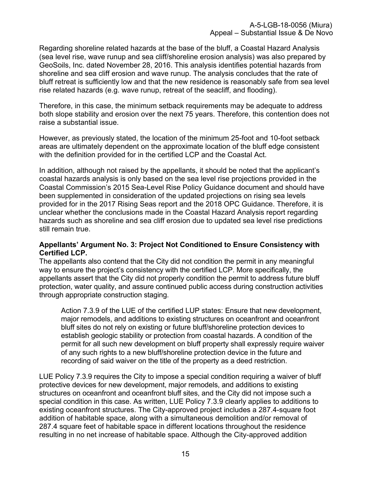Regarding shoreline related hazards at the base of the bluff, a Coastal Hazard Analysis (sea level rise, wave runup and sea cliff/shoreline erosion analysis) was also prepared by GeoSoils, Inc. dated November 28, 2016. This analysis identifies potential hazards from shoreline and sea cliff erosion and wave runup. The analysis concludes that the rate of bluff retreat is sufficiently low and that the new residence is reasonably safe from sea level rise related hazards (e.g. wave runup, retreat of the seacliff, and flooding).

Therefore, in this case, the minimum setback requirements may be adequate to address both slope stability and erosion over the next 75 years. Therefore, this contention does not raise a substantial issue.

However, as previously stated, the location of the minimum 25-foot and 10-foot setback areas are ultimately dependent on the approximate location of the bluff edge consistent with the definition provided for in the certified LCP and the Coastal Act.

In addition, although not raised by the appellants, it should be noted that the applicant's coastal hazards analysis is only based on the sea level rise projections provided in the Coastal Commission's 2015 Sea-Level Rise Policy Guidance document and should have been supplemented in consideration of the updated projections on rising sea levels provided for in the 2017 Rising Seas report and the 2018 OPC Guidance. Therefore, it is unclear whether the conclusions made in the Coastal Hazard Analysis report regarding hazards such as shoreline and sea cliff erosion due to updated sea level rise predictions still remain true.

#### **Appellants' Argument No. 3: Project Not Conditioned to Ensure Consistency with Certified LCP.**

The appellants also contend that the City did not condition the permit in any meaningful way to ensure the project's consistency with the certified LCP. More specifically, the appellants assert that the City did not properly condition the permit to address future bluff protection, water quality, and assure continued public access during construction activities through appropriate construction staging.

Action 7.3.9 of the LUE of the certified LUP states: Ensure that new development, major remodels, and additions to existing structures on oceanfront and oceanfront bluff sites do not rely on existing or future bluff/shoreline protection devices to establish geologic stability or protection from coastal hazards. A condition of the permit for all such new development on bluff property shall expressly require waiver of any such rights to a new bluff/shoreline protection device in the future and recording of said waiver on the title of the property as a deed restriction.

LUE Policy 7.3.9 requires the City to impose a special condition requiring a waiver of bluff protective devices for new development, major remodels, and additions to existing structures on oceanfront and oceanfront bluff sites, and the City did not impose such a special condition in this case. As written, LUE Policy 7.3.9 clearly applies to additions to existing oceanfront structures. The City-approved project includes a 287.4-square foot addition of habitable space, along with a simultaneous demolition and/or removal of 287.4 square feet of habitable space in different locations throughout the residence resulting in no net increase of habitable space. Although the City-approved addition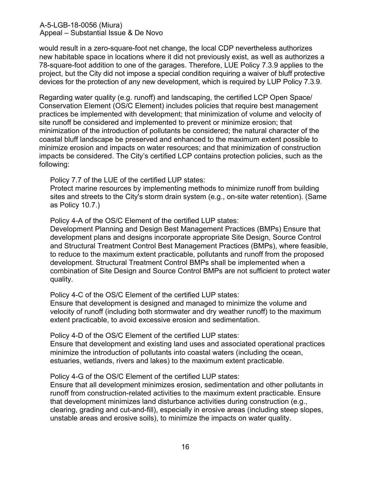would result in a zero-square-foot net change, the local CDP nevertheless authorizes new habitable space in locations where it did not previously exist, as well as authorizes a 78-square-foot addition to one of the garages. Therefore, LUE Policy 7.3.9 applies to the project, but the City did not impose a special condition requiring a waiver of bluff protective devices for the protection of any new development, which is required by LUP Policy 7.3.9.

Regarding water quality (e.g. runoff) and landscaping, the certified LCP Open Space/ Conservation Element (OS/C Element) includes policies that require best management practices be implemented with development; that minimization of volume and velocity of site runoff be considered and implemented to prevent or minimize erosion; that minimization of the introduction of pollutants be considered; the natural character of the coastal bluff landscape be preserved and enhanced to the maximum extent possible to minimize erosion and impacts on water resources; and that minimization of construction impacts be considered. The City's certified LCP contains protection policies, such as the following:

Policy 7.7 of the LUE of the certified LUP states:

Protect marine resources by implementing methods to minimize runoff from building sites and streets to the City's storm drain system (e.g., on-site water retention). (Same as Policy 10.7.)

Policy 4-A of the OS/C Element of the certified LUP states:

Development Planning and Design Best Management Practices (BMPs) Ensure that development plans and designs incorporate appropriate Site Design, Source Control and Structural Treatment Control Best Management Practices (BMPs), where feasible, to reduce to the maximum extent practicable, pollutants and runoff from the proposed development. Structural Treatment Control BMPs shall be implemented when a combination of Site Design and Source Control BMPs are not sufficient to protect water quality.

Policy 4-C of the OS/C Element of the certified LUP states:

Ensure that development is designed and managed to minimize the volume and velocity of runoff (including both stormwater and dry weather runoff) to the maximum extent practicable, to avoid excessive erosion and sedimentation.

Policy 4-D of the OS/C Element of the certified LUP states:

Ensure that development and existing land uses and associated operational practices minimize the introduction of pollutants into coastal waters (including the ocean, estuaries, wetlands, rivers and lakes) to the maximum extent practicable.

Policy 4-G of the OS/C Element of the certified LUP states:

Ensure that all development minimizes erosion, sedimentation and other pollutants in runoff from construction-related activities to the maximum extent practicable. Ensure that development minimizes land disturbance activities during construction (e.g., clearing, grading and cut-and-fill), especially in erosive areas (including steep slopes, unstable areas and erosive soils), to minimize the impacts on water quality.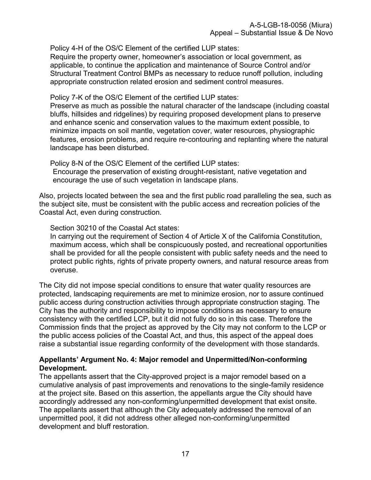Policy 4-H of the OS/C Element of the certified LUP states:

Require the property owner, homeowner's association or local government, as applicable, to continue the application and maintenance of Source Control and/or Structural Treatment Control BMPs as necessary to reduce runoff pollution, including appropriate construction related erosion and sediment control measures.

Policy 7-K of the OS/C Element of the certified LUP states:

Preserve as much as possible the natural character of the landscape (including coastal bluffs, hillsides and ridgelines) by requiring proposed development plans to preserve and enhance scenic and conservation values to the maximum extent possible, to minimize impacts on soil mantle, vegetation cover, water resources, physiographic features, erosion problems, and require re-contouring and replanting where the natural landscape has been disturbed.

Policy 8-N of the OS/C Element of the certified LUP states: Encourage the preservation of existing drought-resistant, native vegetation and encourage the use of such vegetation in landscape plans.

Also, projects located between the sea and the first public road paralleling the sea, such as the subject site, must be consistent with the public access and recreation policies of the Coastal Act, even during construction.

Section 30210 of the Coastal Act states:

In carrying out the requirement of Section 4 of Article X of the California Constitution, maximum access, which shall be conspicuously posted, and recreational opportunities shall be provided for all the people consistent with public safety needs and the need to protect public rights, rights of private property owners, and natural resource areas from overuse.

The City did not impose special conditions to ensure that water quality resources are protected, landscaping requirements are met to minimize erosion, nor to assure continued public access during construction activities through appropriate construction staging. The City has the authority and responsibility to impose conditions as necessary to ensure consistency with the certified LCP, but it did not fully do so in this case. Therefore the Commission finds that the project as approved by the City may not conform to the LCP or the public access policies of the Coastal Act, and thus, this aspect of the appeal does raise a substantial issue regarding conformity of the development with those standards.

## **Appellants' Argument No. 4: Major remodel and Unpermitted/Non-conforming Development.**

The appellants assert that the City-approved project is a major remodel based on a cumulative analysis of past improvements and renovations to the single-family residence at the project site. Based on this assertion, the appellants argue the City should have accordingly addressed any non-conforming/unpermitted development that exist onsite. The appellants assert that although the City adequately addressed the removal of an unpermitted pool, it did not address other alleged non-conforming/unpermitted development and bluff restoration.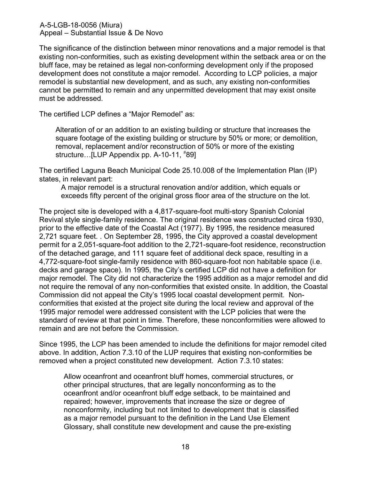The significance of the distinction between minor renovations and a major remodel is that existing non-conformities, such as existing development within the setback area or on the bluff face, may be retained as legal non-conforming development only if the proposed development does not constitute a major remodel. According to LCP policies, a major remodel is substantial new development, and as such, any existing non-conformities cannot be permitted to remain and any unpermitted development that may exist onsite must be addressed.

The certified LCP defines a "Major Remodel" as:

Alteration of or an addition to an existing building or structure that increases the square footage of the existing building or structure by 50% or more; or demolition, removal, replacement and/or reconstruction of 50% or more of the existing structure...[LUP Appendix pp. A-10-11, #89]

The certified Laguna Beach Municipal Code 25.10.008 of the Implementation Plan (IP) states, in relevant part:

A major remodel is a structural renovation and/or addition, which equals or exceeds fifty percent of the original gross floor area of the structure on the lot.

The project site is developed with a 4,817-square-foot multi-story Spanish Colonial Revival style single-family residence. The original residence was constructed circa 1930, prior to the effective date of the Coastal Act (1977). By 1995, the residence measured 2,721 square feet. . On September 28, 1995, the City approved a coastal development permit for a 2,051-square-foot addition to the 2,721-square-foot residence, reconstruction of the detached garage, and 111 square feet of additional deck space, resulting in a 4,772-square-foot single-family residence with 860-square-foot non habitable space (i.e. decks and garage space). In 1995, the City's certified LCP did not have a definition for major remodel. The City did not characterize the 1995 addition as a major remodel and did not require the removal of any non-conformities that existed onsite. In addition, the Coastal Commission did not appeal the City's 1995 local coastal development permit. Nonconformities that existed at the project site during the local review and approval of the 1995 major remodel were addressed consistent with the LCP policies that were the standard of review at that point in time. Therefore, these nonconformities were allowed to remain and are not before the Commission.

Since 1995, the LCP has been amended to include the definitions for major remodel cited above. In addition, Action 7.3.10 of the LUP requires that existing non-conformities be removed when a project constituted new development. Action 7.3.10 states:

Allow oceanfront and oceanfront bluff homes, commercial structures, or other principal structures, that are legally nonconforming as to the oceanfront and/or oceanfront bluff edge setback, to be maintained and repaired; however, improvements that increase the size or degree of nonconformity, including but not limited to development that is classified as a major remodel pursuant to the definition in the Land Use Element Glossary, shall constitute new development and cause the pre-existing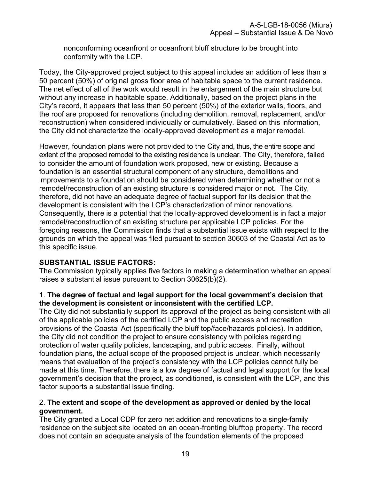nonconforming oceanfront or oceanfront bluff structure to be brought into conformity with the LCP.

Today, the City-approved project subject to this appeal includes an addition of less than a 50 percent (50%) of original gross floor area of habitable space to the current residence. The net effect of all of the work would result in the enlargement of the main structure but without any increase in habitable space. Additionally, based on the project plans in the City's record, it appears that less than 50 percent (50%) of the exterior walls, floors, and the roof are proposed for renovations (including demolition, removal, replacement, and/or reconstruction) when considered individually or cumulatively. Based on this information, the City did not characterize the locally-approved development as a major remodel.

However, foundation plans were not provided to the City and, thus, the entire scope and extent of the proposed remodel to the existing residence is unclear. The City, therefore, failed to consider the amount of foundation work proposed, new or existing. Because a foundation is an essential structural component of any structure, demolitions and improvements to a foundation should be considered when determining whether or not a remodel/reconstruction of an existing structure is considered major or not. The City, therefore, did not have an adequate degree of factual support for its decision that the development is consistent with the LCP's characterization of minor renovations. Consequently, there is a potential that the locally-approved development is in fact a major remodel/reconstruction of an existing structure per applicable LCP policies. For the foregoing reasons, the Commission finds that a substantial issue exists with respect to the grounds on which the appeal was filed pursuant to section 30603 of the Coastal Act as to this specific issue.

## **SUBSTANTIAL ISSUE FACTORS:**

The Commission typically applies five factors in making a determination whether an appeal raises a substantial issue pursuant to Section 30625(b)(2).

## 1. **The degree of factual and legal support for the local government's decision that the development is consistent or inconsistent with the certified LCP.**

The City did not substantially support its approval of the project as being consistent with all of the applicable policies of the certified LCP and the public access and recreation provisions of the Coastal Act (specifically the bluff top/face/hazards policies). In addition, the City did not condition the project to ensure consistency with policies regarding protection of water quality policies, landscaping, and public access. Finally, without foundation plans, the actual scope of the proposed project is unclear, which necessarily means that evaluation of the project's consistency with the LCP policies cannot fully be made at this time. Therefore, there is a low degree of factual and legal support for the local government's decision that the project, as conditioned, is consistent with the LCP, and this factor supports a substantial issue finding.

## 2. **The extent and scope of the development as approved or denied by the local government.**

The City granted a Local CDP for zero net addition and renovations to a single-family residence on the subject site located on an ocean-fronting blufftop property. The record does not contain an adequate analysis of the foundation elements of the proposed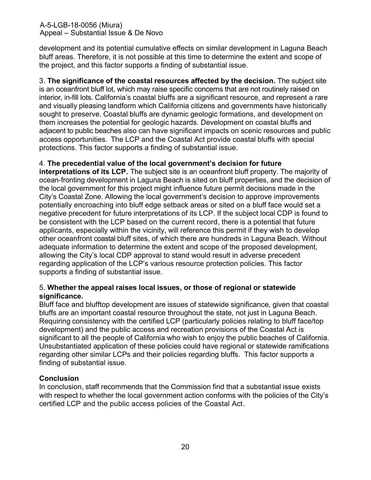development and its potential cumulative effects on similar development in Laguna Beach bluff areas. Therefore, it is not possible at this time to determine the extent and scope of the project, and this factor supports a finding of substantial issue.

3. **The significance of the coastal resources affected by the decision.** The subject site is an oceanfront bluff lot, which may raise specific concerns that are not routinely raised on interior, in-fill lots. California's coastal bluffs are a significant resource, and represent a rare and visually pleasing landform which California citizens and governments have historically sought to preserve. Coastal bluffs are dynamic geologic formations, and development on them increases the potential for geologic hazards. Development on coastal bluffs and adjacent to public beaches also can have significant impacts on scenic resources and public access opportunities. The LCP and the Coastal Act provide coastal bluffs with special protections. This factor supports a finding of substantial issue.

## 4. **The precedential value of the local government's decision for future**

**interpretations of its LCP.** The subject site is an oceanfront bluff property. The majority of ocean-fronting development in Laguna Beach is sited on bluff properties, and the decision of the local government for this project might influence future permit decisions made in the City's Coastal Zone. Allowing the local government's decision to approve improvements potentially encroaching into bluff edge setback areas or sited on a bluff face would set a negative precedent for future interpretations of its LCP. If the subject local CDP is found to be consistent with the LCP based on the current record, there is a potential that future applicants, especially within the vicinity, will reference this permit if they wish to develop other oceanfront coastal bluff sites, of which there are hundreds in Laguna Beach. Without adequate information to determine the extent and scope of the proposed development, allowing the City's local CDP approval to stand would result in adverse precedent regarding application of the LCP's various resource protection policies. This factor supports a finding of substantial issue.

## 5. **Whether the appeal raises local issues, or those of regional or statewide significance.**

Bluff face and blufftop development are issues of statewide significance, given that coastal bluffs are an important coastal resource throughout the state, not just in Laguna Beach. Requiring consistency with the certified LCP (particularly policies relating to bluff face/top development) and the public access and recreation provisions of the Coastal Act is significant to all the people of California who wish to enjoy the public beaches of California. Unsubstantiated application of these policies could have regional or statewide ramifications regarding other similar LCPs and their policies regarding bluffs. This factor supports a finding of substantial issue.

## **Conclusion**

In conclusion, staff recommends that the Commission find that a substantial issue exists with respect to whether the local government action conforms with the policies of the City's certified LCP and the public access policies of the Coastal Act.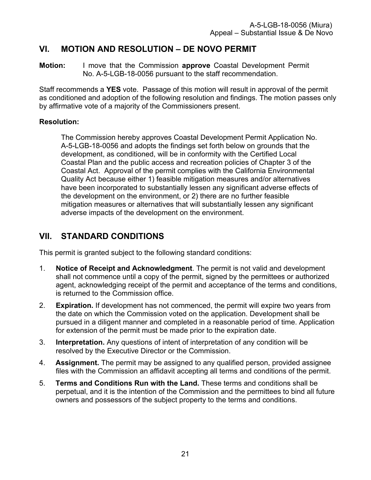# <span id="page-20-0"></span>**VI. MOTION AND RESOLUTION – DE NOVO PERMIT**

**Motion:** I move that the Commission **approve** Coastal Development Permit No. A-5-LGB-18-0056 pursuant to the staff recommendation.

Staff recommends a **YES** vote. Passage of this motion will result in approval of the permit as conditioned and adoption of the following resolution and findings. The motion passes only by affirmative vote of a majority of the Commissioners present.

## **Resolution:**

The Commission hereby approves Coastal Development Permit Application No. A-5-LGB-18-0056 and adopts the findings set forth below on grounds that the development, as conditioned, will be in conformity with the Certified Local Coastal Plan and the public access and recreation policies of Chapter 3 of the Coastal Act. Approval of the permit complies with the California Environmental Quality Act because either 1) feasible mitigation measures and/or alternatives have been incorporated to substantially lessen any significant adverse effects of the development on the environment, or 2) there are no further feasible mitigation measures or alternatives that will substantially lessen any significant adverse impacts of the development on the environment.

# <span id="page-20-1"></span>**VII. STANDARD CONDITIONS**

This permit is granted subject to the following standard conditions:

- 1. **Notice of Receipt and Acknowledgment**. The permit is not valid and development shall not commence until a copy of the permit, signed by the permittees or authorized agent, acknowledging receipt of the permit and acceptance of the terms and conditions, is returned to the Commission office.
- 2. **Expiration.** If development has not commenced, the permit will expire two years from the date on which the Commission voted on the application. Development shall be pursued in a diligent manner and completed in a reasonable period of time. Application for extension of the permit must be made prior to the expiration date.
- 3. **Interpretation.** Any questions of intent of interpretation of any condition will be resolved by the Executive Director or the Commission.
- 4. **Assignment.** The permit may be assigned to any qualified person, provided assignee files with the Commission an affidavit accepting all terms and conditions of the permit.
- 5. **Terms and Conditions Run with the Land.** These terms and conditions shall be perpetual, and it is the intention of the Commission and the permittees to bind all future owners and possessors of the subject property to the terms and conditions.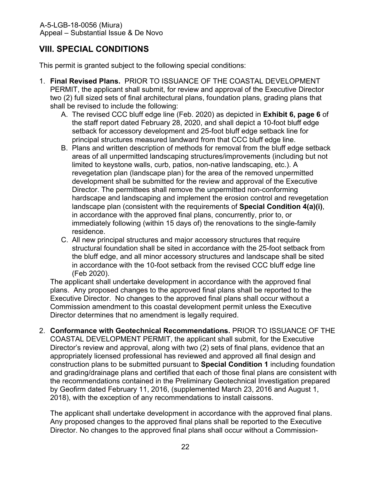# <span id="page-21-0"></span>**VIII. SPECIAL CONDITIONS**

This permit is granted subject to the following special conditions:

- 1. **Final Revised Plans.** PRIOR TO ISSUANCE OF THE COASTAL DEVELOPMENT PERMIT, the applicant shall submit, for review and approval of the Executive Director two (2) full sized sets of final architectural plans, foundation plans, grading plans that shall be revised to include the following:
	- A. The revised CCC bluff edge line (Feb. 2020) as depicted in **[Exhibit 6, page 6](https://documents.coastal.ca.gov/reports/2020/3/Th11a/Th11a-3-2020-exhibits.pdf)** of the staff report dated February 28, 2020, and shall depict a 10-foot bluff edge setback for accessory development and 25-foot bluff edge setback line for principal structures measured landward from that CCC bluff edge line.
	- B. Plans and written description of methods for removal from the bluff edge setback areas of all unpermitted landscaping structures/improvements (including but not limited to keystone walls, curb, patios, non-native landscaping, etc.). A revegetation plan (landscape plan) for the area of the removed unpermitted development shall be submitted for the review and approval of the Executive Director. The permittees shall remove the unpermitted non-conforming hardscape and landscaping and implement the erosion control and revegetation landscape plan (consistent with the requirements of **Special Condition 4(a)(i)**, in accordance with the approved final plans, concurrently, prior to, or immediately following (within 15 days of) the renovations to the single-family residence.
	- C. All new principal structures and major accessory structures that require structural foundation shall be sited in accordance with the 25-foot setback from the bluff edge, and all minor accessory structures and landscape shall be sited in accordance with the 10-foot setback from the revised CCC bluff edge line (Feb 2020).

The applicant shall undertake development in accordance with the approved final plans. Any proposed changes to the approved final plans shall be reported to the Executive Director. No changes to the approved final plans shall occur without a Commission amendment to this coastal development permit unless the Executive Director determines that no amendment is legally required.

2. **Conformance with Geotechnical Recommendations.** PRIOR TO ISSUANCE OF THE COASTAL DEVELOPMENT PERMIT, the applicant shall submit, for the Executive Director's review and approval, along with two (2) sets of final plans, evidence that an appropriately licensed professional has reviewed and approved all final design and construction plans to be submitted pursuant to **Special Condition 1** including foundation and grading/drainage plans and certified that each of those final plans are consistent with the recommendations contained in the Preliminary Geotechnical Investigation prepared by Geofirm dated February 11, 2016, (supplemented March 23, 2016 and August 1, 2018), with the exception of any recommendations to install caissons.

The applicant shall undertake development in accordance with the approved final plans. Any proposed changes to the approved final plans shall be reported to the Executive Director. No changes to the approved final plans shall occur without a Commission-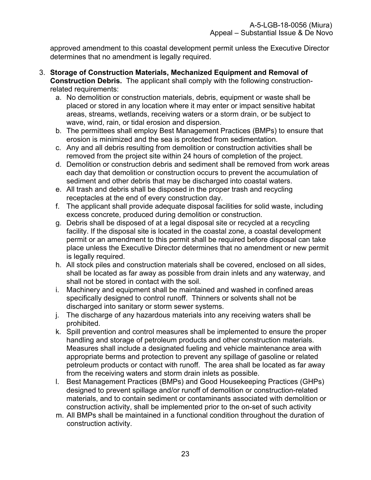approved amendment to this coastal development permit unless the Executive Director determines that no amendment is legally required.

- 3. **Storage of Construction Materials, Mechanized Equipment and Removal of Construction Debris.** The applicant shall comply with the following constructionrelated requirements:
	- a. No demolition or construction materials, debris, equipment or waste shall be placed or stored in any location where it may enter or impact sensitive habitat areas, streams, wetlands, receiving waters or a storm drain, or be subject to wave, wind, rain, or tidal erosion and dispersion.
	- b. The permittees shall employ Best Management Practices (BMPs) to ensure that erosion is minimized and the sea is protected from sedimentation.
	- c. Any and all debris resulting from demolition or construction activities shall be removed from the project site within 24 hours of completion of the project.
	- d. Demolition or construction debris and sediment shall be removed from work areas each day that demolition or construction occurs to prevent the accumulation of sediment and other debris that may be discharged into coastal waters.
	- e. All trash and debris shall be disposed in the proper trash and recycling receptacles at the end of every construction day.
	- f. The applicant shall provide adequate disposal facilities for solid waste, including excess concrete, produced during demolition or construction.
	- g. Debris shall be disposed of at a legal disposal site or recycled at a recycling facility. If the disposal site is located in the coastal zone, a coastal development permit or an amendment to this permit shall be required before disposal can take place unless the Executive Director determines that no amendment or new permit is legally required.
	- h. All stock piles and construction materials shall be covered, enclosed on all sides, shall be located as far away as possible from drain inlets and any waterway, and shall not be stored in contact with the soil.
	- i. Machinery and equipment shall be maintained and washed in confined areas specifically designed to control runoff. Thinners or solvents shall not be discharged into sanitary or storm sewer systems.
	- j. The discharge of any hazardous materials into any receiving waters shall be prohibited.
	- k. Spill prevention and control measures shall be implemented to ensure the proper handling and storage of petroleum products and other construction materials. Measures shall include a designated fueling and vehicle maintenance area with appropriate berms and protection to prevent any spillage of gasoline or related petroleum products or contact with runoff. The area shall be located as far away from the receiving waters and storm drain inlets as possible.
	- l. Best Management Practices (BMPs) and Good Housekeeping Practices (GHPs) designed to prevent spillage and/or runoff of demolition or construction-related materials, and to contain sediment or contaminants associated with demolition or construction activity, shall be implemented prior to the on-set of such activity
	- m. All BMPs shall be maintained in a functional condition throughout the duration of construction activity.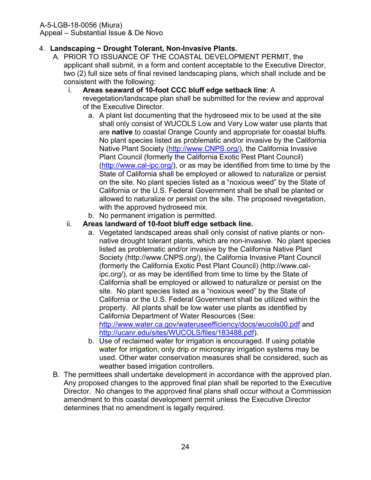## 4. **Landscaping − Drought Tolerant, Non-Invasive Plants.**

A. PRIOR TO ISSUANCE OF THE COASTAL DEVELOPMENT PERMIT, the applicant shall submit, in a form and content acceptable to the Executive Director, two (2) full size sets of final revised landscaping plans, which shall include and be consistent with the following:

### i. **Areas seaward of 10-foot CCC bluff edge setback line**: A

- revegetation/landscape plan shall be submitted for the review and approval of the Executive Director.
	- a. A plant list documenting that the hydroseed mix to be used at the site shall only consist of WUCOLS Low and Very Low water use plants that are **native** to coastal Orange County and appropriate for coastal bluffs. No plant species listed as problematic and/or invasive by the California Native Plant Society [\(http://www.CNPS.org/\)](http://www.cnps.org/), the California Invasive Plant Council (formerly the California Exotic Pest Plant Council) [\(http://www.cal-ipc.org/\)](http://www.cal-ipc.org/), or as may be identified from time to time by the State of California shall be employed or allowed to naturalize or persist on the site. No plant species listed as a "noxious weed" by the State of California or the U.S. Federal Government shall be shall be planted or allowed to naturalize or persist on the site. The proposed revegetation, with the approved hydroseed mix.
	- b. No permanent irrigation is permitted.

## ii. **Areas landward of 10-foot bluff edge setback line.**

- a. Vegetated landscaped areas shall only consist of native plants or nonnative drought tolerant plants, which are non-invasive. No plant species listed as problematic and/or invasive by the California Native Plant Society (http://www.CNPS.org/), the California Invasive Plant Council (formerly the California Exotic Pest Plant Council) (http://www.calipc.org/), or as may be identified from time to time by the State of California shall be employed or allowed to naturalize or persist on the site. No plant species listed as a "noxious weed" by the State of California or the U.S. Federal Government shall be utilized within the property. All plants shall be low water use plants as identified by California Department of Water Resources (See: <http://www.water.ca.gov/wateruseefficiency/docs/wucols00.pdf> and [http://ucanr.edu/sites/WUCOLS/files/183488.pdf\)](http://ucanr.edu/sites/WUCOLS/files/183488.pdf).
- b. Use of reclaimed water for irrigation is encouraged. If using potable water for irrigation, only drip or microspray irrigation systems may be used. Other water conservation measures shall be considered, such as weather based irrigation controllers.
- B. The permittees shall undertake development in accordance with the approved plan. Any proposed changes to the approved final plan shall be reported to the Executive Director. No changes to the approved final plans shall occur without a Commission amendment to this coastal development permit unless the Executive Director determines that no amendment is legally required.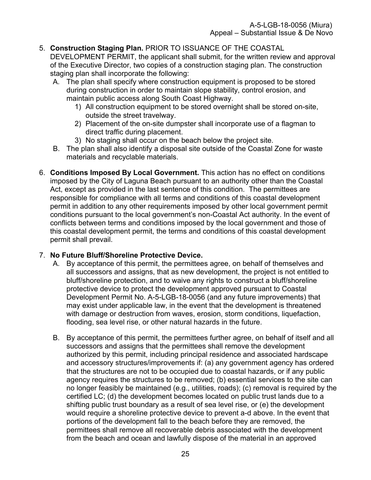## 5. **Construction Staging Plan.** PRIOR TO ISSUANCE OF THE COASTAL

DEVELOPMENT PERMIT, the applicant shall submit, for the written review and approval of the Executive Director, two copies of a construction staging plan. The construction staging plan shall incorporate the following:

- A. The plan shall specify where construction equipment is proposed to be stored during construction in order to maintain slope stability, control erosion, and maintain public access along South Coast Highway.
	- 1) All construction equipment to be stored overnight shall be stored on-site, outside the street travelway.
	- 2) Placement of the on-site dumpster shall incorporate use of a flagman to direct traffic during placement.
	- 3) No staging shall occur on the beach below the project site.
- B. The plan shall also identify a disposal site outside of the Coastal Zone for waste materials and recyclable materials.
- 6. **Conditions Imposed By Local Government.** This action has no effect on conditions imposed by the City of Laguna Beach pursuant to an authority other than the Coastal Act, except as provided in the last sentence of this condition. The permittees are responsible for compliance with all terms and conditions of this coastal development permit in addition to any other requirements imposed by other local government permit conditions pursuant to the local government's non-Coastal Act authority. In the event of conflicts between terms and conditions imposed by the local government and those of this coastal development permit, the terms and conditions of this coastal development permit shall prevail.

## 7. **No Future Bluff/Shoreline Protective Device.**

- A. By acceptance of this permit, the permittees agree, on behalf of themselves and all successors and assigns, that as new development, the project is not entitled to bluff/shoreline protection, and to waive any rights to construct a bluff/shoreline protective device to protect the development approved pursuant to Coastal Development Permit No. A-5-LGB-18-0056 (and any future improvements) that may exist under applicable law, in the event that the development is threatened with damage or destruction from waves, erosion, storm conditions, liquefaction, flooding, sea level rise, or other natural hazards in the future.
- B. By acceptance of this permit, the permittees further agree, on behalf of itself and all successors and assigns that the permittees shall remove the development authorized by this permit, including principal residence and associated hardscape and accessory structures/improvements if: (a) any government agency has ordered that the structures are not to be occupied due to coastal hazards, or if any public agency requires the structures to be removed; (b) essential services to the site can no longer feasibly be maintained (e.g., utilities, roads); (c) removal is required by the certified LC; (d) the development becomes located on public trust lands due to a shifting public trust boundary as a result of sea level rise, or (e) the development would require a shoreline protective device to prevent a-d above. In the event that portions of the development fall to the beach before they are removed, the permittees shall remove all recoverable debris associated with the development from the beach and ocean and lawfully dispose of the material in an approved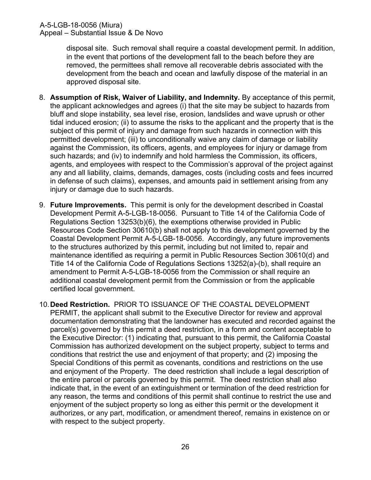disposal site. Such removal shall require a coastal development permit. In addition, in the event that portions of the development fall to the beach before they are removed, the permittees shall remove all recoverable debris associated with the development from the beach and ocean and lawfully dispose of the material in an approved disposal site.

- 8. **Assumption of Risk, Waiver of Liability, and Indemnity.** By acceptance of this permit, the applicant acknowledges and agrees (i) that the site may be subject to hazards from bluff and slope instability, sea level rise, erosion, landslides and wave uprush or other tidal induced erosion; (ii) to assume the risks to the applicant and the property that is the subject of this permit of injury and damage from such hazards in connection with this permitted development; (iii) to unconditionally waive any claim of damage or liability against the Commission, its officers, agents, and employees for injury or damage from such hazards; and (iv) to indemnify and hold harmless the Commission, its officers, agents, and employees with respect to the Commission's approval of the project against any and all liability, claims, demands, damages, costs (including costs and fees incurred in defense of such claims), expenses, and amounts paid in settlement arising from any injury or damage due to such hazards.
- 9. **Future Improvements.** This permit is only for the development described in Coastal Development Permit A-5-LGB-18-0056. Pursuant to Title 14 of the California Code of Regulations Section 13253(b)(6), the exemptions otherwise provided in Public Resources Code Section 30610(b) shall not apply to this development governed by the Coastal Development Permit A-5-LGB-18-0056. Accordingly, any future improvements to the structures authorized by this permit, including but not limited to, repair and maintenance identified as requiring a permit in Public Resources Section 30610(d) and Title 14 of the California Code of Regulations Sections 13252(a)-(b), shall require an amendment to Permit A-5-LGB-18-0056 from the Commission or shall require an additional coastal development permit from the Commission or from the applicable certified local government.
- 10.**Deed Restriction.** PRIOR TO ISSUANCE OF THE COASTAL DEVELOPMENT PERMIT, the applicant shall submit to the Executive Director for review and approval documentation demonstrating that the landowner has executed and recorded against the parcel(s) governed by this permit a deed restriction, in a form and content acceptable to the Executive Director: (1) indicating that, pursuant to this permit, the California Coastal Commission has authorized development on the subject property, subject to terms and conditions that restrict the use and enjoyment of that property; and (2) imposing the Special Conditions of this permit as covenants, conditions and restrictions on the use and enjoyment of the Property. The deed restriction shall include a legal description of the entire parcel or parcels governed by this permit. The deed restriction shall also indicate that, in the event of an extinguishment or termination of the deed restriction for any reason, the terms and conditions of this permit shall continue to restrict the use and enjoyment of the subject property so long as either this permit or the development it authorizes, or any part, modification, or amendment thereof, remains in existence on or with respect to the subject property.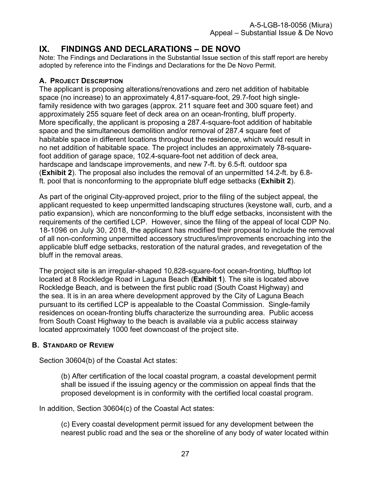## <span id="page-26-0"></span>**IX. FINDINGS AND DECLARATIONS – DE NOVO**

Note: The Findings and Declarations in the Substantial Issue section of this staff report are hereby adopted by reference into the Findings and Declarations for the De Novo Permit.

## <span id="page-26-1"></span>**A. PROJECT DESCRIPTION**

The applicant is proposing alterations/renovations and zero net addition of habitable space (no increase) to an approximately 4,817-square-foot, 29.7-foot high singlefamily residence with two garages (approx. 211 square feet and 300 square feet) and approximately 255 square feet of deck area on an ocean-fronting, bluff property. More specifically, the applicant is proposing a 287.4-square-foot addition of habitable space and the simultaneous demolition and/or removal of 287.4 square feet of habitable space in different locations throughout the residence, which would result in no net addition of habitable space. The project includes an approximately 78-squarefoot addition of garage space, 102.4-square-foot net addition of deck area, hardscape and landscape improvements, and new 7-ft. by 6.5-ft. outdoor spa (**[Exhibit 2](https://documents.coastal.ca.gov/reports/2020/3/Th11a/Th11a-3-2020-exhibits.pdf)**). The proposal also includes the removal of an unpermitted 14.2-ft. by 6.8 ft. pool that is nonconforming to the appropriate bluff edge setbacks (**[Exhibit 2](https://documents.coastal.ca.gov/reports/2020/3/Th11a/Th11a-3-2020-exhibits.pdf)**).

As part of the original City-approved project, prior to the filing of the subject appeal, the applicant requested to keep unpermitted landscaping structures (keystone wall, curb, and a patio expansion), which are nonconforming to the bluff edge setbacks, inconsistent with the requirements of the certified LCP. However, since the filing of the appeal of local CDP No. 18-1096 on July 30, 2018, the applicant has modified their proposal to include the removal of all non-conforming unpermitted accessory structures/improvements encroaching into the applicable bluff edge setbacks, restoration of the natural grades, and revegetation of the bluff in the removal areas.

The project site is an irregular-shaped 10,828-square-foot ocean-fronting, blufftop lot located at 8 Rockledge Road in Laguna Beach (**[Exhibit 1](https://documents.coastal.ca.gov/reports/2020/3/Th11a/Th11a-3-2020-exhibits.pdf)**). The site is located above Rockledge Beach, and is between the first public road (South Coast Highway) and the sea. It is in an area where development approved by the City of Laguna Beach pursuant to its certified LCP is appealable to the Coastal Commission. Single-family residences on ocean-fronting bluffs characterize the surrounding area. Public access from South Coast Highway to the beach is available via a public access stairway located approximately 1000 feet downcoast of the project site.

## <span id="page-26-2"></span>**B. STANDARD OF REVIEW**

Section 30604(b) of the Coastal Act states:

(b) After certification of the local coastal program, a coastal development permit shall be issued if the issuing agency or the commission on appeal finds that the proposed development is in conformity with the certified local coastal program.

In addition, Section 30604(c) of the Coastal Act states:

(c) Every coastal development permit issued for any development between the nearest public road and the sea or the shoreline of any body of water located within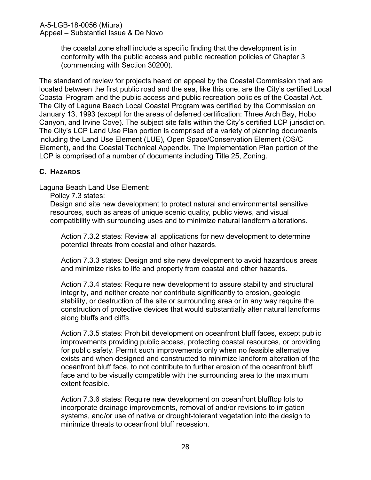the coastal zone shall include a specific finding that the development is in conformity with the public access and public recreation policies of Chapter 3 (commencing with Section 30200).

The standard of review for projects heard on appeal by the Coastal Commission that are located between the first public road and the sea, like this one, are the City's certified Local Coastal Program and the public access and public recreation policies of the Coastal Act. The City of Laguna Beach Local Coastal Program was certified by the Commission on January 13, 1993 (except for the areas of deferred certification: Three Arch Bay, Hobo Canyon, and Irvine Cove). The subject site falls within the City's certified LCP jurisdiction. The City's LCP Land Use Plan portion is comprised of a variety of planning documents including the Land Use Element (LUE), Open Space/Conservation Element (OS/C Element), and the Coastal Technical Appendix. The Implementation Plan portion of the LCP is comprised of a number of documents including Title 25, Zoning.

## <span id="page-27-0"></span>**C. HAZARDS**

Laguna Beach Land Use Element:

Policy 7.3 states:

Design and site new development to protect natural and environmental sensitive resources, such as areas of unique scenic quality, public views, and visual compatibility with surrounding uses and to minimize natural landform alterations.

Action 7.3.2 states: Review all applications for new development to determine potential threats from coastal and other hazards.

Action 7.3.3 states: Design and site new development to avoid hazardous areas and minimize risks to life and property from coastal and other hazards.

Action 7.3.4 states: Require new development to assure stability and structural integrity, and neither create nor contribute significantly to erosion, geologic stability, or destruction of the site or surrounding area or in any way require the construction of protective devices that would substantially alter natural landforms along bluffs and cliffs.

Action 7.3.5 states: Prohibit development on oceanfront bluff faces, except public improvements providing public access, protecting coastal resources, or providing for public safety. Permit such improvements only when no feasible alternative exists and when designed and constructed to minimize landform alteration of the oceanfront bluff face, to not contribute to further erosion of the oceanfront bluff face and to be visually compatible with the surrounding area to the maximum extent feasible.

Action 7.3.6 states: Require new development on oceanfront blufftop lots to incorporate drainage improvements, removal of and/or revisions to irrigation systems, and/or use of native or drought-tolerant vegetation into the design to minimize threats to oceanfront bluff recession.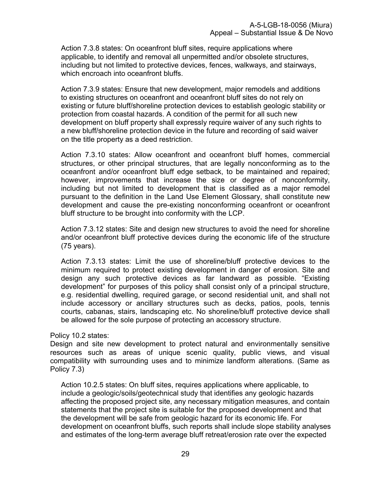Action 7.3.8 states: On oceanfront bluff sites, require applications where applicable, to identify and removal all unpermitted and/or obsolete structures, including but not limited to protective devices, fences, walkways, and stairways, which encroach into oceanfront bluffs.

Action 7.3.9 states: Ensure that new development, major remodels and additions to existing structures on oceanfront and oceanfront bluff sites do not rely on existing or future bluff/shoreline protection devices to establish geologic stability or protection from coastal hazards. A condition of the permit for all such new development on bluff property shall expressly require waiver of any such rights to a new bluff/shoreline protection device in the future and recording of said waiver on the title property as a deed restriction.

Action 7.3.10 states: Allow oceanfront and oceanfront bluff homes, commercial structures, or other principal structures, that are legally nonconforming as to the oceanfront and/or oceanfront bluff edge setback, to be maintained and repaired; however, improvements that increase the size or degree of nonconformity, including but not limited to development that is classified as a major remodel pursuant to the definition in the Land Use Element Glossary, shall constitute new development and cause the pre-existing nonconforming oceanfront or oceanfront bluff structure to be brought into conformity with the LCP.

Action 7.3.12 states: Site and design new structures to avoid the need for shoreline and/or oceanfront bluff protective devices during the economic life of the structure (75 years).

Action 7.3.13 states: Limit the use of shoreline/bluff protective devices to the minimum required to protect existing development in danger of erosion. Site and design any such protective devices as far landward as possible. "Existing development" for purposes of this policy shall consist only of a principal structure, e.g. residential dwelling, required garage, or second residential unit, and shall not include accessory or ancillary structures such as decks, patios, pools, tennis courts, cabanas, stairs, landscaping etc. No shoreline/bluff protective device shall be allowed for the sole purpose of protecting an accessory structure.

#### Policy 10.2 states:

Design and site new development to protect natural and environmentally sensitive resources such as areas of unique scenic quality, public views, and visual compatibility with surrounding uses and to minimize landform alterations. (Same as Policy 7.3)

Action 10.2.5 states: On bluff sites, requires applications where applicable, to include a geologic/soils/geotechnical study that identifies any geologic hazards affecting the proposed project site, any necessary mitigation measures, and contain statements that the project site is suitable for the proposed development and that the development will be safe from geologic hazard for its economic life. For development on oceanfront bluffs, such reports shall include slope stability analyses and estimates of the long-term average bluff retreat/erosion rate over the expected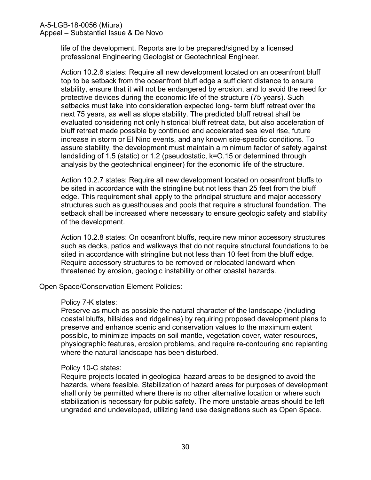life of the development. Reports are to be prepared/signed by a licensed professional Engineering Geologist or Geotechnical Engineer.

Action 10.2.6 states: Require all new development located on an oceanfront bluff top to be setback from the oceanfront bluff edge a sufficient distance to ensure stability, ensure that it will not be endangered by erosion, and to avoid the need for protective devices during the economic life of the structure (75 years). Such setbacks must take into consideration expected long- term bluff retreat over the next 75 years, as well as slope stability. The predicted bluff retreat shall be evaluated considering not only historical bluff retreat data, but also acceleration of bluff retreat made possible by continued and accelerated sea level rise, future increase in storm or EI Nino events, and any known site-specific conditions. To assure stability, the development must maintain a minimum factor of safety against landsliding of 1.5 (static) or 1.2 (pseudostatic, k=O.15 or determined through analysis by the geotechnical engineer) for the economic life of the structure.

Action 10.2.7 states: Require all new development located on oceanfront bluffs to be sited in accordance with the stringline but not less than 25 feet from the bluff edge. This requirement shall apply to the principal structure and major accessory structures such as guesthouses and pools that require a structural foundation. The setback shall be increased where necessary to ensure geologic safety and stability of the development.

Action 10.2.8 states: On oceanfront bluffs, require new minor accessory structures such as decks, patios and walkways that do not require structural foundations to be sited in accordance with stringline but not less than 10 feet from the bluff edge. Require accessory structures to be removed or relocated landward when threatened by erosion, geologic instability or other coastal hazards.

Open Space/Conservation Element Policies:

#### Policy 7-K states:

Preserve as much as possible the natural character of the landscape (including coastal bluffs, hillsides and ridgelines) by requiring proposed development plans to preserve and enhance scenic and conservation values to the maximum extent possible, to minimize impacts on soil mantle, vegetation cover, water resources, physiographic features, erosion problems, and require re-contouring and replanting where the natural landscape has been disturbed.

#### Policy 10-C states:

Require projects located in geological hazard areas to be designed to avoid the hazards, where feasible. Stabilization of hazard areas for purposes of development shall only be permitted where there is no other alternative location or where such stabilization is necessary for public safety. The more unstable areas should be left ungraded and undeveloped, utilizing land use designations such as Open Space.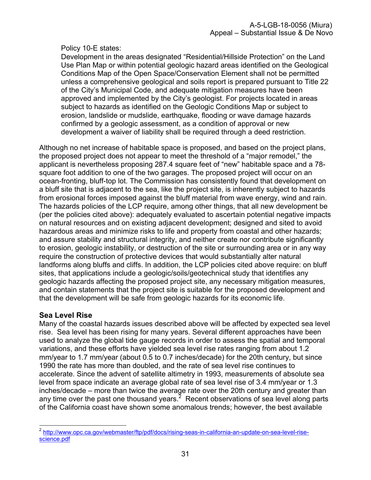## Policy 10-E states:

Development in the areas designated "Residential/Hillside Protection" on the Land Use Plan Map or within potential geologic hazard areas identified on the Geological Conditions Map of the Open Space/Conservation Element shall not be permitted unless a comprehensive geological and soils report is prepared pursuant to Title 22 of the City's Municipal Code, and adequate mitigation measures have been approved and implemented by the City's geologist. For projects located in areas subject to hazards as identified on the Geologic Conditions Map or subject to erosion, landslide or mudslide, earthquake, flooding or wave damage hazards confirmed by a geologic assessment, as a condition of approval or new development a waiver of liability shall be required through a deed restriction.

Although no net increase of habitable space is proposed, and based on the project plans, the proposed project does not appear to meet the threshold of a "major remodel," the applicant is nevertheless proposing 287.4 square feet of "new" habitable space and a 78 square foot addition to one of the two garages. The proposed project will occur on an ocean-fronting, bluff-top lot. The Commission has consistently found that development on a bluff site that is adjacent to the sea, like the project site, is inherently subject to hazards from erosional forces imposed against the bluff material from wave energy, wind and rain. The hazards policies of the LCP require, among other things, that all new development be (per the policies cited above): adequately evaluated to ascertain potential negative impacts on natural resources and on existing adjacent development; designed and sited to avoid hazardous areas and minimize risks to life and property from coastal and other hazards; and assure stability and structural integrity, and neither create nor contribute significantly to erosion, geologic instability, or destruction of the site or surrounding area or in any way require the construction of protective devices that would substantially alter natural landforms along bluffs and cliffs. In addition, the LCP policies cited above require: on bluff sites, that applications include a geologic/soils/geotechnical study that identifies any geologic hazards affecting the proposed project site, any necessary mitigation measures, and contain statements that the project site is suitable for the proposed development and that the development will be safe from geologic hazards for its economic life.

## **Sea Level Rise**

Many of the coastal hazards issues described above will be affected by expected sea level rise. Sea level has been rising for many years. Several different approaches have been used to analyze the global tide gauge records in order to assess the spatial and temporal variations, and these efforts have yielded sea level rise rates ranging from about 1.2 mm/year to 1.7 mm/year (about 0.5 to 0.7 inches/decade) for the 20th century, but since 1990 the rate has more than doubled, and the rate of sea level rise continues to accelerate. Since the advent of satellite altimetry in 1993, measurements of absolute sea level from space indicate an average global rate of sea level rise of 3.4 mm/year or 1.3 inches/decade – more than twice the average rate over the 20th century and greater than any time over the past one thousand years. $^2$  Recent observations of sea level along parts of the California coast have shown some anomalous trends; however, the best available

 2 [http://www.opc.ca.gov/webmaster/ftp/pdf/docs/rising-seas-in-california-an-update-on-sea-level-rise](http://www.opc.ca.gov/webmaster/ftp/pdf/docs/rising-seas-in-california-an-update-on-sea-level-rise-science.pdf)[science.pdf](http://www.opc.ca.gov/webmaster/ftp/pdf/docs/rising-seas-in-california-an-update-on-sea-level-rise-science.pdf)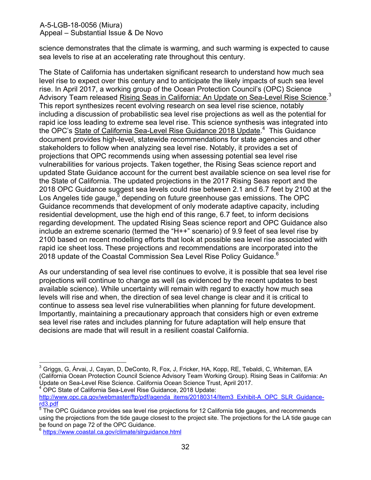science demonstrates that the climate is warming, and such warming is expected to cause sea levels to rise at an accelerating rate throughout this century.

The State of California has undertaken significant research to understand how much sea level rise to expect over this century and to anticipate the likely impacts of such sea level rise. In April 2017, a working group of the Ocean Protection Council's (OPC) Science Advisory Team released <u>Rising Seas in California: An Update on Sea-Level Rise Science</u>.<sup>3</sup> This report synthesizes recent evolving research on sea level rise science, notably including a discussion of probabilistic sea level rise projections as well as the potential for rapid ice loss leading to extreme sea level rise. This science synthesis was integrated into the OPC's State of California Sea-Level Rise Guidance 2018 Update.<sup>4</sup> This Guidance document provides high-level, statewide recommendations for state agencies and other stakeholders to follow when analyzing sea level rise. Notably, it provides a set of projections that OPC recommends using when assessing potential sea level rise vulnerabilities for various projects. Taken together, the Rising Seas science report and updated State Guidance account for the current best available science on sea level rise for the State of California. The updated projections in the 2017 Rising Seas report and the 2018 OPC Guidance suggest sea levels could rise between 2.1 and 6.7 feet by 2100 at the Los Angeles tide gauge, $^5$  depending on future greenhouse gas emissions. The OPC Guidance recommends that development of only moderate adaptive capacity, including residential development, use the high end of this range, 6.7 feet, to inform decisions regarding development. The updated Rising Seas science report and OPC Guidance also include an extreme scenario (termed the "H++" scenario) of 9.9 feet of sea level rise by 2100 based on recent modelling efforts that look at possible sea level rise associated with rapid ice sheet loss. These projections and recommendations are incorporated into the 2018 update of the Coastal Commission Sea Level Rise Policy Guidance.<sup>6</sup>

As our understanding of sea level rise continues to evolve, it is possible that sea level rise projections will continue to change as well (as evidenced by the recent updates to best available science). While uncertainty will remain with regard to exactly how much sea levels will rise and when, the direction of sea level change is clear and it is critical to continue to assess sea level rise vulnerabilities when planning for future development. Importantly, maintaining a precautionary approach that considers high or even extreme sea level rise rates and includes planning for future adaptation will help ensure that decisions are made that will result in a resilient coastal California.

<sup>4</sup> OPC State of California Sea-Level Rise Guidance, 2018 Update: [http://www.opc.ca.gov/webmaster/ftp/pdf/agenda\\_items/20180314/Item3\\_Exhibit-A\\_OPC\\_SLR\\_Guidance](http://www.opc.ca.gov/webmaster/ftp/pdf/agenda_items/20180314/Item3_Exhibit-A_OPC_SLR_Guidance-rd3.pdf)[rd3.pdf](http://www.opc.ca.gov/webmaster/ftp/pdf/agenda_items/20180314/Item3_Exhibit-A_OPC_SLR_Guidance-rd3.pdf)

 $\overline{a}$  $^3$  Griggs, G, Árvai, J, Cayan, D, DeConto, R, Fox, J, Fricker, HA, Kopp, RE, Tebaldi, C, Whiteman, EA (California Ocean Protection Council Science Advisory Team Working Group). Rising Seas in California: An Update on Sea-Level Rise Science. California Ocean Science Trust, April 2017.

 $^5$  The OPC Guidance provides sea level rise projections for 12 California tide gauges, and recommends using the projections from the tide gauge closest to the project site. The projections for the LA tide gauge can be found on page 72 of the OPC Guidance.

<sup>6</sup> <https://www.coastal.ca.gov/climate/slrguidance.html>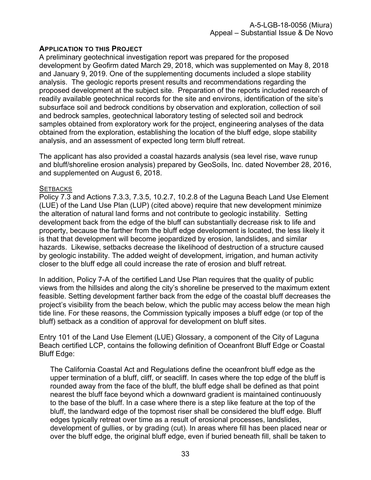## **APPLICATION TO THIS PROJECT**

A preliminary geotechnical investigation report was prepared for the proposed development by Geofirm dated March 29, 2018, which was supplemented on May 8, 2018 and January 9, 2019. One of the supplementing documents included a slope stability analysis. The geologic reports present results and recommendations regarding the proposed development at the subject site. Preparation of the reports included research of readily available geotechnical records for the site and environs, identification of the site's subsurface soil and bedrock conditions by observation and exploration, collection of soil and bedrock samples, geotechnical laboratory testing of selected soil and bedrock samples obtained from exploratory work for the project, engineering analyses of the data obtained from the exploration, establishing the location of the bluff edge, slope stability analysis, and an assessment of expected long term bluff retreat.

The applicant has also provided a coastal hazards analysis (sea level rise, wave runup and bluff/shoreline erosion analysis) prepared by GeoSoils, Inc. dated November 28, 2016, and supplemented on August 6, 2018.

#### **SETBACKS**

Policy 7.3 and Actions 7.3.3, 7.3.5, 10.2.7, 10.2.8 of the Laguna Beach Land Use Element (LUE) of the Land Use Plan (LUP) (cited above) require that new development minimize the alteration of natural land forms and not contribute to geologic instability. Setting development back from the edge of the bluff can substantially decrease risk to life and property, because the farther from the bluff edge development is located, the less likely it is that that development will become jeopardized by erosion, landslides, and similar hazards. Likewise, setbacks decrease the likelihood of destruction of a structure caused by geologic instability. The added weight of development, irrigation, and human activity closer to the bluff edge all could increase the rate of erosion and bluff retreat.

In addition, Policy 7-A of the certified Land Use Plan requires that the quality of public views from the hillsides and along the city's shoreline be preserved to the maximum extent feasible. Setting development farther back from the edge of the coastal bluff decreases the project's visibility from the beach below, which the public may access below the mean high tide line. For these reasons, the Commission typically imposes a bluff edge (or top of the bluff) setback as a condition of approval for development on bluff sites.

Entry 101 of the Land Use Element (LUE) Glossary, a component of the City of Laguna Beach certified LCP, contains the following definition of Oceanfront Bluff Edge or Coastal Bluff Edge:

The California Coastal Act and Regulations define the oceanfront bluff edge as the upper termination of a bluff, cliff, or seacliff. In cases where the top edge of the bluff is rounded away from the face of the bluff, the bluff edge shall be defined as that point nearest the bluff face beyond which a downward gradient is maintained continuously to the base of the bluff. In a case where there is a step like feature at the top of the bluff, the landward edge of the topmost riser shall be considered the bluff edge. Bluff edges typically retreat over time as a result of erosional processes, landslides, development of gullies, or by grading (cut). In areas where fill has been placed near or over the bluff edge, the original bluff edge, even if buried beneath fill, shall be taken to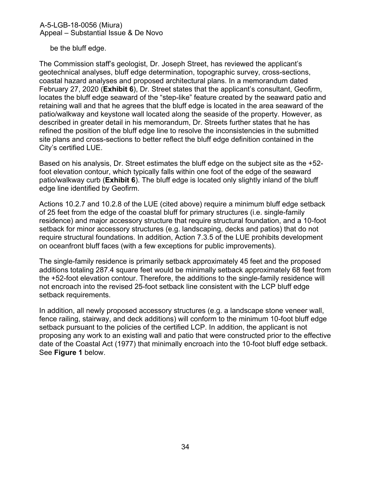be the bluff edge.

The Commission staff's geologist, Dr. Joseph Street, has reviewed the applicant's geotechnical analyses, bluff edge determination, topographic survey, cross-sections, coastal hazard analyses and proposed architectural plans. In a memorandum dated February 27, 2020 (**[Exhibit 6](https://documents.coastal.ca.gov/reports/2020/3/Th11a/Th11a-3-2020-exhibits.pdf)**), Dr. Street states that the applicant's consultant, Geofirm, locates the bluff edge seaward of the "step-like" feature created by the seaward patio and retaining wall and that he agrees that the bluff edge is located in the area seaward of the patio/walkway and keystone wall located along the seaside of the property. However, as described in greater detail in his memorandum, Dr. Streets further states that he has refined the position of the bluff edge line to resolve the inconsistencies in the submitted site plans and cross-sections to better reflect the bluff edge definition contained in the City's certified LUE.

Based on his analysis, Dr. Street estimates the bluff edge on the subject site as the +52 foot elevation contour, which typically falls within one foot of the edge of the seaward patio/walkway curb (**[Exhibit 6](https://documents.coastal.ca.gov/reports/2020/3/Th11a/Th11a-3-2020-exhibits.pdf)**). The bluff edge is located only slightly inland of the bluff edge line identified by Geofirm.

Actions 10.2.7 and 10.2.8 of the LUE (cited above) require a minimum bluff edge setback of 25 feet from the edge of the coastal bluff for primary structures (i.e. single-family residence) and major accessory structure that require structural foundation, and a 10-foot setback for minor accessory structures (e.g. landscaping, decks and patios) that do not require structural foundations. In addition, Action 7.3.5 of the LUE prohibits development on oceanfront bluff faces (with a few exceptions for public improvements).

The single-family residence is primarily setback approximately 45 feet and the proposed additions totaling 287.4 square feet would be minimally setback approximately 68 feet from the +52-foot elevation contour. Therefore, the additions to the single-family residence will not encroach into the revised 25-foot setback line consistent with the LCP bluff edge setback requirements.

In addition, all newly proposed accessory structures (e.g. a landscape stone veneer wall, fence railing, stairway, and deck additions) will conform to the minimum 10-foot bluff edge setback pursuant to the policies of the certified LCP. In addition, the applicant is not proposing any work to an existing wall and patio that were constructed prior to the effective date of the Coastal Act (1977) that minimally encroach into the 10-foot bluff edge setback. See **Figure 1** below.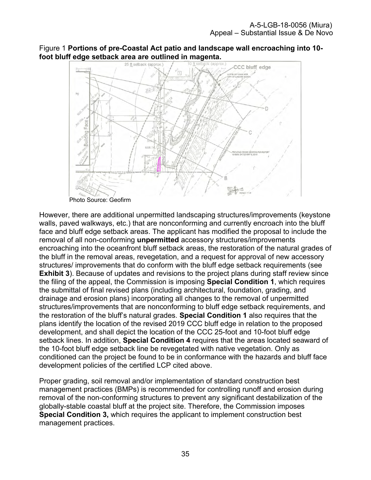Figure 1 **Portions of pre-Coastal Act patio and landscape wall encroaching into 10 foot bluff edge setback area are outlined in magenta.**<br>25 ft setback (approx.) 10 ft setback (approx)



Photo Source: Geofirm

However, there are additional unpermitted landscaping structures/improvements (keystone walls, paved walkways, etc.) that are nonconforming and currently encroach into the bluff face and bluff edge setback areas. The applicant has modified the proposal to include the removal of all non-conforming **unpermitted** accessory structures/improvements encroaching into the oceanfront bluff setback areas, the restoration of the natural grades of the bluff in the removal areas, revegetation, and a request for approval of new accessory structures/ improvements that do conform with the bluff edge setback requirements (see **[Exhibit 3](https://documents.coastal.ca.gov/reports/2020/3/Th11a/Th11a-3-2020-exhibits.pdf)**). Because of updates and revisions to the project plans during staff review since the filing of the appeal, the Commission is imposing **Special Condition 1**, which requires the submittal of final revised plans (including architectural, foundation, grading, and drainage and erosion plans) incorporating all changes to the removal of unpermitted structures/improvements that are nonconforming to bluff edge setback requirements, and the restoration of the bluff's natural grades. **Special Condition 1** also requires that the plans identify the location of the revised 2019 CCC bluff edge in relation to the proposed development, and shall depict the location of the CCC 25-foot and 10-foot bluff edge setback lines. In addition, **Special Condition 4** requires that the areas located seaward of the 10-foot bluff edge setback line be revegetated with native vegetation. Only as conditioned can the project be found to be in conformance with the hazards and bluff face development policies of the certified LCP cited above.

Proper grading, soil removal and/or implementation of standard construction best management practices (BMPs) is recommended for controlling runoff and erosion during removal of the non-conforming structures to prevent any significant destabilization of the globally-stable coastal bluff at the project site. Therefore, the Commission imposes **Special Condition 3,** which requires the applicant to implement construction best management practices.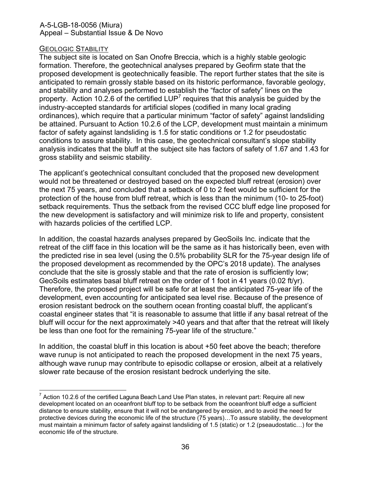#### GEOLOGIC STABILITY

The subject site is located on San Onofre Breccia, which is a highly stable geologic formation. Therefore, the geotechnical analyses prepared by Geofirm state that the proposed development is geotechnically feasible. The report further states that the site is anticipated to remain grossly stable based on its historic performance, favorable geology, and stability and analyses performed to establish the "factor of safety" lines on the property. Action 10.2.6 of the certified LUP<sup>7</sup> requires that this analysis be guided by the industry-accepted standards for artificial slopes (codified in many local grading ordinances), which require that a particular minimum "factor of safety" against landsliding be attained. Pursuant to Action 10.2.6 of the LCP, development must maintain a minimum factor of safety against landsliding is 1.5 for static conditions or 1.2 for pseudostatic conditions to assure stability. In this case, the geotechnical consultant's slope stability analysis indicates that the bluff at the subject site has factors of safety of 1.67 and 1.43 for gross stability and seismic stability.

The applicant's geotechnical consultant concluded that the proposed new development would not be threatened or destroyed based on the expected bluff retreat (erosion) over the next 75 years, and concluded that a setback of 0 to 2 feet would be sufficient for the protection of the house from bluff retreat, which is less than the minimum (10- to 25-foot) setback requirements. Thus the setback from the revised CCC bluff edge line proposed for the new development is satisfactory and will minimize risk to life and property, consistent with hazards policies of the certified LCP.

In addition, the coastal hazards analyses prepared by GeoSoils Inc. indicate that the retreat of the cliff face in this location will be the same as it has historically been, even with the predicted rise in sea level (using the 0.5% probability SLR for the 75-year design life of the proposed development as recommended by the OPC's 2018 update). The analyses conclude that the site is grossly stable and that the rate of erosion is sufficiently low; GeoSoils estimates basal bluff retreat on the order of 1 foot in 41 years (0.02 ft/yr). Therefore, the proposed project will be safe for at least the anticipated 75-year life of the development, even accounting for anticipated sea level rise. Because of the presence of erosion resistant bedrock on the southern ocean fronting coastal bluff, the applicant's coastal engineer states that "it is reasonable to assume that little if any basal retreat of the bluff will occur for the next approximately >40 years and that after that the retreat will likely be less than one foot for the remaining 75-year life of the structure."

In addition, the coastal bluff in this location is about +50 feet above the beach; therefore wave runup is not anticipated to reach the proposed development in the next 75 years, although wave runup may contribute to episodic collapse or erosion, albeit at a relatively slower rate because of the erosion resistant bedrock underlying the site.

 7 Action 10.2.6 of the certified Laguna Beach Land Use Plan states, in relevant part: Require all new development located on an oceanfront bluff top to be setback from the oceanfront bluff edge a sufficient distance to ensure stability, ensure that it will not be endangered by erosion, and to avoid the need for protective devices during the economic life of the structure (75 years)…To assure stability, the development must maintain a minimum factor of safety against landsliding of 1.5 (static) or 1.2 (pseaudostatic…) for the economic life of the structure.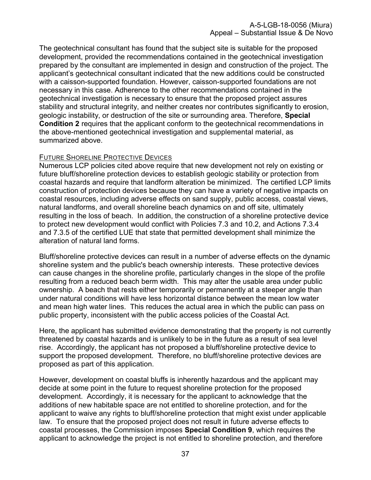The geotechnical consultant has found that the subject site is suitable for the proposed development, provided the recommendations contained in the geotechnical investigation prepared by the consultant are implemented in design and construction of the project. The applicant's geotechnical consultant indicated that the new additions could be constructed with a caisson-supported foundation. However, caisson-supported foundations are not necessary in this case. Adherence to the other recommendations contained in the geotechnical investigation is necessary to ensure that the proposed project assures stability and structural integrity, and neither creates nor contributes significantly to erosion, geologic instability, or destruction of the site or surrounding area. Therefore, **Special Condition 2** requires that the applicant conform to the geotechnical recommendations in the above-mentioned geotechnical investigation and supplemental material, as summarized above.

## FUTURE SHORELINE PROTECTIVE DEVICES

Numerous LCP policies cited above require that new development not rely on existing or future bluff/shoreline protection devices to establish geologic stability or protection from coastal hazards and require that landform alteration be minimized. The certified LCP limits construction of protection devices because they can have a variety of negative impacts on coastal resources, including adverse effects on sand supply, public access, coastal views, natural landforms, and overall shoreline beach dynamics on and off site, ultimately resulting in the loss of beach. In addition, the construction of a shoreline protective device to protect new development would conflict with Policies 7.3 and 10.2, and Actions 7.3.4 and 7.3.5 of the certified LUE that state that permitted development shall minimize the alteration of natural land forms.

Bluff/shoreline protective devices can result in a number of adverse effects on the dynamic shoreline system and the public's beach ownership interests. These protective devices can cause changes in the shoreline profile, particularly changes in the slope of the profile resulting from a reduced beach berm width. This may alter the usable area under public ownership. A beach that rests either temporarily or permanently at a steeper angle than under natural conditions will have less horizontal distance between the mean low water and mean high water lines. This reduces the actual area in which the public can pass on public property, inconsistent with the public access policies of the Coastal Act.

Here, the applicant has submitted evidence demonstrating that the property is not currently threatened by coastal hazards and is unlikely to be in the future as a result of sea level rise. Accordingly, the applicant has not proposed a bluff/shoreline protective device to support the proposed development. Therefore, no bluff/shoreline protective devices are proposed as part of this application.

However, development on coastal bluffs is inherently hazardous and the applicant may decide at some point in the future to request shoreline protection for the proposed development. Accordingly, it is necessary for the applicant to acknowledge that the additions of new habitable space are not entitled to shoreline protection, and for the applicant to waive any rights to bluff/shoreline protection that might exist under applicable law. To ensure that the proposed project does not result in future adverse effects to coastal processes, the Commission imposes **Special Condition 9**, which requires the applicant to acknowledge the project is not entitled to shoreline protection, and therefore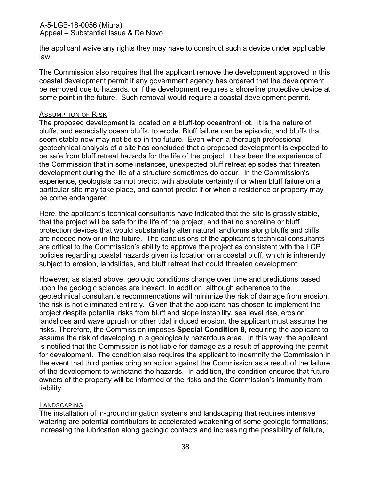the applicant waive any rights they may have to construct such a device under applicable law.

The Commission also requires that the applicant remove the development approved in this coastal development permit if any government agency has ordered that the development be removed due to hazards, or if the development requires a shoreline protective device at some point in the future. Such removal would require a coastal development permit.

#### ASSUMPTION OF RISK

The proposed development is located on a bluff-top oceanfront lot. It is the nature of bluffs, and especially ocean bluffs, to erode. Bluff failure can be episodic, and bluffs that seem stable now may not be so in the future. Even when a thorough professional geotechnical analysis of a site has concluded that a proposed development is expected to be safe from bluff retreat hazards for the life of the project, it has been the experience of the Commission that in some instances, unexpected bluff retreat episodes that threaten development during the life of a structure sometimes do occur. In the Commission's experience, geologists cannot predict with absolute certainty if or when bluff failure on a particular site may take place, and cannot predict if or when a residence or property may be come endangered.

Here, the applicant's technical consultants have indicated that the site is grossly stable, that the project will be safe for the life of the project, and that no shoreline or bluff protection devices that would substantially alter natural landforms along bluffs and cliffs are needed now or in the future. The conclusions of the applicant's technical consultants are critical to the Commission's ability to approve the project as consistent with the LCP policies regarding coastal hazards given its location on a coastal bluff, which is inherently subject to erosion, landslides, and bluff retreat that could threaten development.

However, as stated above, geologic conditions change over time and predictions based upon the geologic sciences are inexact. In addition, although adherence to the geotechnical consultant's recommendations will minimize the risk of damage from erosion, the risk is not eliminated entirely. Given that the applicant has chosen to implement the project despite potential risks from bluff and slope instability, sea level rise, erosion, landslides and wave uprush or other tidal induced erosion, the applicant must assume the risks. Therefore, the Commission imposes **Special Condition 8**, requiring the applicant to assume the risk of developing in a geologically hazardous area. In this way, the applicant is notified that the Commission is not liable for damage as a result of approving the permit for development. The condition also requires the applicant to indemnify the Commission in the event that third parties bring an action against the Commission as a result of the failure of the development to withstand the hazards. In addition, the condition ensures that future owners of the property will be informed of the risks and the Commission's immunity from liability.

#### LANDSCAPING

The installation of in-ground irrigation systems and landscaping that requires intensive watering are potential contributors to accelerated weakening of some geologic formations; increasing the lubrication along geologic contacts and increasing the possibility of failure,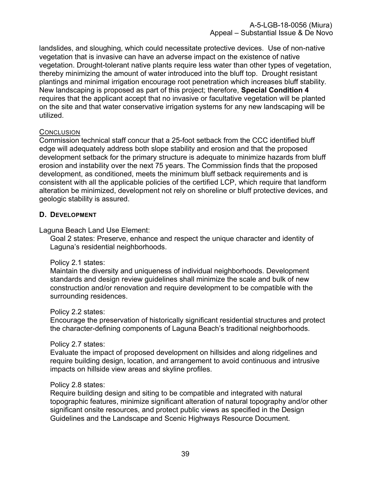landslides, and sloughing, which could necessitate protective devices. Use of non-native vegetation that is invasive can have an adverse impact on the existence of native vegetation. Drought-tolerant native plants require less water than other types of vegetation, thereby minimizing the amount of water introduced into the bluff top. Drought resistant plantings and minimal irrigation encourage root penetration which increases bluff stability. New landscaping is proposed as part of this project; therefore, **Special Condition 4**  requires that the applicant accept that no invasive or facultative vegetation will be planted on the site and that water conservative irrigation systems for any new landscaping will be utilized.

## **CONCLUSION**

Commission technical staff concur that a 25-foot setback from the CCC identified bluff edge will adequately address both slope stability and erosion and that the proposed development setback for the primary structure is adequate to minimize hazards from bluff erosion and instability over the next 75 years. The Commission finds that the proposed development, as conditioned, meets the minimum bluff setback requirements and is consistent with all the applicable policies of the certified LCP, which require that landform alteration be minimized, development not rely on shoreline or bluff protective devices, and geologic stability is assured.

## <span id="page-38-0"></span>**D. DEVELOPMENT**

Laguna Beach Land Use Element:

Goal 2 states: Preserve, enhance and respect the unique character and identity of Laguna's residential neighborhoods.

#### Policy 2.1 states:

Maintain the diversity and uniqueness of individual neighborhoods. Development standards and design review guidelines shall minimize the scale and bulk of new construction and/or renovation and require development to be compatible with the surrounding residences.

#### Policy 2.2 states:

Encourage the preservation of historically significant residential structures and protect the character-defining components of Laguna Beach's traditional neighborhoods.

#### Policy 2.7 states:

Evaluate the impact of proposed development on hillsides and along ridgelines and require building design, location, and arrangement to avoid continuous and intrusive impacts on hillside view areas and skyline profiles.

#### Policy 2.8 states:

Require building design and siting to be compatible and integrated with natural topographic features, minimize significant alteration of natural topography and/or other significant onsite resources, and protect public views as specified in the Design Guidelines and the Landscape and Scenic Highways Resource Document.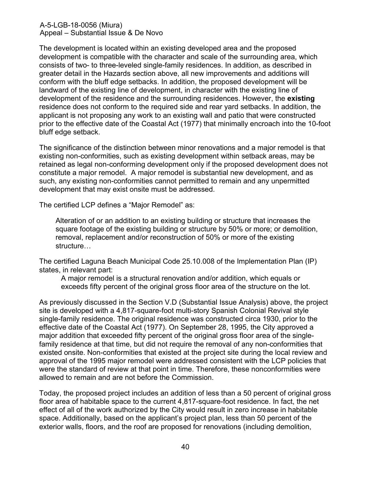The development is located within an existing developed area and the proposed development is compatible with the character and scale of the surrounding area, which consists of two- to three-leveled single-family residences. In addition, as described in greater detail in the Hazards section above, all new improvements and additions will conform with the bluff edge setbacks. In addition, the proposed development will be landward of the existing line of development, in character with the existing line of development of the residence and the surrounding residences. However, the **existing** residence does not conform to the required side and rear yard setbacks. In addition, the applicant is not proposing any work to an existing wall and patio that were constructed prior to the effective date of the Coastal Act (1977) that minimally encroach into the 10-foot bluff edge setback.

The significance of the distinction between minor renovations and a major remodel is that existing non-conformities, such as existing development within setback areas, may be retained as legal non-conforming development only if the proposed development does not constitute a major remodel. A major remodel is substantial new development, and as such, any existing non-conformities cannot permitted to remain and any unpermitted development that may exist onsite must be addressed.

The certified LCP defines a "Major Remodel" as:

Alteration of or an addition to an existing building or structure that increases the square footage of the existing building or structure by 50% or more; or demolition, removal, replacement and/or reconstruction of 50% or more of the existing structure…

The certified Laguna Beach Municipal Code 25.10.008 of the Implementation Plan (IP) states, in relevant part:

A major remodel is a structural renovation and/or addition, which equals or exceeds fifty percent of the original gross floor area of the structure on the lot.

As previously discussed in the Section V.D (Substantial Issue Analysis) above, the project site is developed with a 4,817-square-foot multi-story Spanish Colonial Revival style single-family residence. The original residence was constructed circa 1930, prior to the effective date of the Coastal Act (1977). On September 28, 1995, the City approved a major addition that exceeded fifty percent of the original gross floor area of the singlefamily residence at that time, but did not require the removal of any non-conformities that existed onsite. Non-conformities that existed at the project site during the local review and approval of the 1995 major remodel were addressed consistent with the LCP policies that were the standard of review at that point in time. Therefore, these nonconformities were allowed to remain and are not before the Commission.

Today, the proposed project includes an addition of less than a 50 percent of original gross floor area of habitable space to the current 4,817-square-foot residence. In fact, the net effect of all of the work authorized by the City would result in zero increase in habitable space. Additionally, based on the applicant's project plan, less than 50 percent of the exterior walls, floors, and the roof are proposed for renovations (including demolition,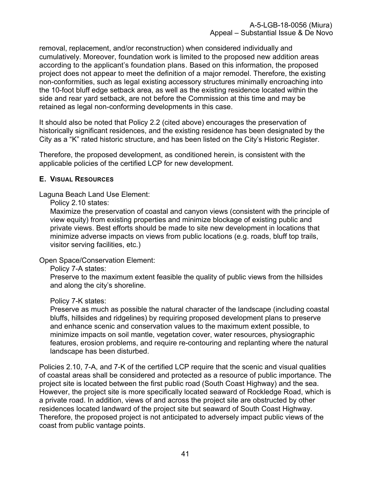removal, replacement, and/or reconstruction) when considered individually and cumulatively. Moreover, foundation work is limited to the proposed new addition areas according to the applicant's foundation plans. Based on this information, the proposed project does not appear to meet the definition of a major remodel. Therefore, the existing non-conformities, such as legal existing accessory structures minimally encroaching into the 10-foot bluff edge setback area, as well as the existing residence located within the side and rear yard setback, are not before the Commission at this time and may be retained as legal non-conforming developments in this case.

It should also be noted that Policy 2.2 (cited above) encourages the preservation of historically significant residences, and the existing residence has been designated by the City as a "K" rated historic structure, and has been listed on the City's Historic Register.

Therefore, the proposed development, as conditioned herein, is consistent with the applicable policies of the certified LCP for new development.

## <span id="page-40-0"></span>**E. VISUAL RESOURCES**

Laguna Beach Land Use Element:

Policy 2.10 states:

Maximize the preservation of coastal and canyon views (consistent with the principle of view equity) from existing properties and minimize blockage of existing public and private views. Best efforts should be made to site new development in locations that minimize adverse impacts on views from public locations (e.g. roads, bluff top trails, visitor serving facilities, etc.)

Open Space/Conservation Element:

Policy 7-A states:

Preserve to the maximum extent feasible the quality of public views from the hillsides and along the city's shoreline.

#### Policy 7-K states:

Preserve as much as possible the natural character of the landscape (including coastal bluffs, hillsides and ridgelines) by requiring proposed development plans to preserve and enhance scenic and conservation values to the maximum extent possible, to minimize impacts on soil mantle, vegetation cover, water resources, physiographic features, erosion problems, and require re-contouring and replanting where the natural landscape has been disturbed.

Policies 2.10, 7-A, and 7-K of the certified LCP require that the scenic and visual qualities of coastal areas shall be considered and protected as a resource of public importance. The project site is located between the first public road (South Coast Highway) and the sea. However, the project site is more specifically located seaward of Rockledge Road, which is a private road. In addition, views of and across the project site are obstructed by other residences located landward of the project site but seaward of South Coast Highway. Therefore, the proposed project is not anticipated to adversely impact public views of the coast from public vantage points.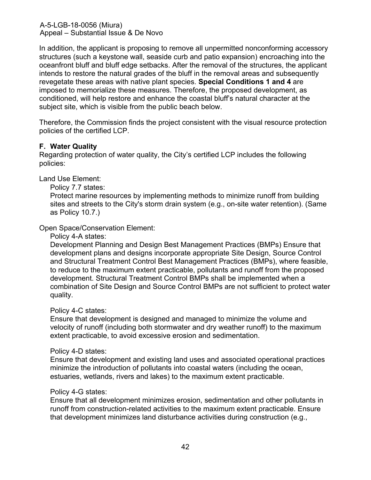In addition, the applicant is proposing to remove all unpermitted nonconforming accessory structures (such a keystone wall, seaside curb and patio expansion) encroaching into the oceanfront bluff and bluff edge setbacks. After the removal of the structures, the applicant intends to restore the natural grades of the bluff in the removal areas and subsequently revegetate these areas with native plant species. **Special Conditions 1 and 4** are imposed to memorialize these measures. Therefore, the proposed development, as conditioned, will help restore and enhance the coastal bluff's natural character at the subject site, which is visible from the public beach below.

Therefore, the Commission finds the project consistent with the visual resource protection policies of the certified LCP.

## <span id="page-41-0"></span>**F. Water Quality**

Regarding protection of water quality, the City's certified LCP includes the following policies:

Land Use Element:

Policy 7.7 states:

Protect marine resources by implementing methods to minimize runoff from building sites and streets to the City's storm drain system (e.g., on-site water retention). (Same as Policy 10.7.)

## Open Space/Conservation Element:

Policy 4-A states:

Development Planning and Design Best Management Practices (BMPs) Ensure that development plans and designs incorporate appropriate Site Design, Source Control and Structural Treatment Control Best Management Practices (BMPs), where feasible, to reduce to the maximum extent practicable, pollutants and runoff from the proposed development. Structural Treatment Control BMPs shall be implemented when a combination of Site Design and Source Control BMPs are not sufficient to protect water quality.

#### Policy 4-C states:

Ensure that development is designed and managed to minimize the volume and velocity of runoff (including both stormwater and dry weather runoff) to the maximum extent practicable, to avoid excessive erosion and sedimentation.

#### Policy 4-D states:

Ensure that development and existing land uses and associated operational practices minimize the introduction of pollutants into coastal waters (including the ocean, estuaries, wetlands, rivers and lakes) to the maximum extent practicable.

#### Policy 4-G states:

Ensure that all development minimizes erosion, sedimentation and other pollutants in runoff from construction-related activities to the maximum extent practicable. Ensure that development minimizes land disturbance activities during construction (e.g.,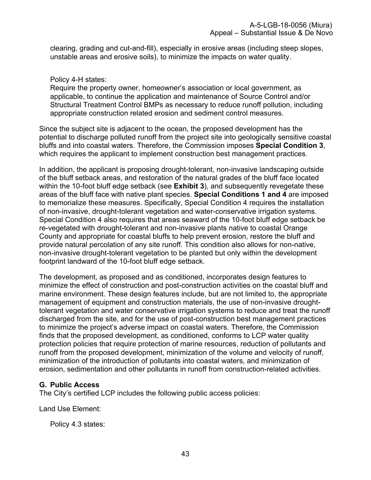clearing, grading and cut-and-fill), especially in erosive areas (including steep slopes, unstable areas and erosive soils), to minimize the impacts on water quality.

Policy 4-H states:

Require the property owner, homeowner's association or local government, as applicable, to continue the application and maintenance of Source Control and/or Structural Treatment Control BMPs as necessary to reduce runoff pollution, including appropriate construction related erosion and sediment control measures.

Since the subject site is adjacent to the ocean, the proposed development has the potential to discharge polluted runoff from the project site into geologically sensitive coastal bluffs and into coastal waters. Therefore, the Commission imposes **Special Condition 3**, which requires the applicant to implement construction best management practices.

In addition, the applicant is proposing drought-tolerant, non-invasive landscaping outside of the bluff setback areas, and restoration of the natural grades of the bluff face located within the 10-foot bluff edge setback (see **[Exhibit 3](https://documents.coastal.ca.gov/reports/2020/3/Th11a/Th11a-3-2020-exhibits.pdf)**), and subsequently revegetate these areas of the bluff face with native plant species. **Special Conditions 1 and 4** are imposed to memorialize these measures. Specifically, Special Condition 4 requires the installation of non-invasive, drought-tolerant vegetation and water-conservative irrigation systems. Special Condition 4 also requires that areas seaward of the 10-foot bluff edge setback be re-vegetated with drought-tolerant and non-invasive plants native to coastal Orange County and appropriate for coastal bluffs to help prevent erosion, restore the bluff and provide natural percolation of any site runoff. This condition also allows for non-native, non-invasive drought-tolerant vegetation to be planted but only within the development footprint landward of the 10-foot bluff edge setback.

The development, as proposed and as conditioned, incorporates design features to minimize the effect of construction and post-construction activities on the coastal bluff and marine environment. These design features include, but are not limited to, the appropriate management of equipment and construction materials, the use of non-invasive droughttolerant vegetation and water conservative irrigation systems to reduce and treat the runoff discharged from the site, and for the use of post-construction best management practices to minimize the project's adverse impact on coastal waters. Therefore, the Commission finds that the proposed development, as conditioned, conforms to LCP water quality protection policies that require protection of marine resources, reduction of pollutants and runoff from the proposed development, minimization of the volume and velocity of runoff, minimization of the introduction of pollutants into coastal waters, and minimization of erosion, sedimentation and other pollutants in runoff from construction-related activities.

## <span id="page-42-0"></span>**G. Public Access**

The City's certified LCP includes the following public access policies:

Land Use Element:

Policy 4.3 states: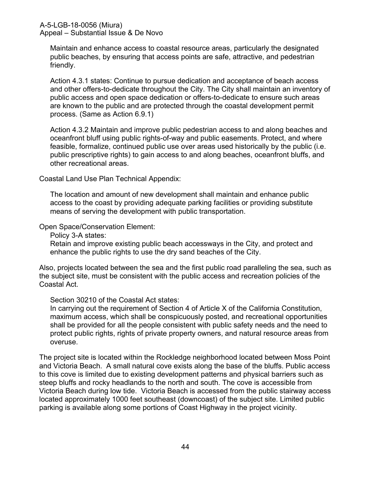Maintain and enhance access to coastal resource areas, particularly the designated public beaches, by ensuring that access points are safe, attractive, and pedestrian friendly.

Action 4.3.1 states: Continue to pursue dedication and acceptance of beach access and other offers-to-dedicate throughout the City. The City shall maintain an inventory of public access and open space dedication or offers-to-dedicate to ensure such areas are known to the public and are protected through the coastal development permit process. (Same as Action 6.9.1)

Action 4.3.2 Maintain and improve public pedestrian access to and along beaches and oceanfront bluff using public rights-of-way and public easements. Protect, and where feasible, formalize, continued public use over areas used historically by the public (i.e. public prescriptive rights) to gain access to and along beaches, oceanfront bluffs, and other recreational areas.

Coastal Land Use Plan Technical Appendix:

The location and amount of new development shall maintain and enhance public access to the coast by providing adequate parking facilities or providing substitute means of serving the development with public transportation.

Open Space/Conservation Element:

Policy 3-A states:

Retain and improve existing public beach accessways in the City, and protect and enhance the public rights to use the dry sand beaches of the City.

Also, projects located between the sea and the first public road paralleling the sea, such as the subject site, must be consistent with the public access and recreation policies of the Coastal Act.

Section 30210 of the Coastal Act states:

In carrying out the requirement of Section 4 of Article X of the California Constitution, maximum access, which shall be conspicuously posted, and recreational opportunities shall be provided for all the people consistent with public safety needs and the need to protect public rights, rights of private property owners, and natural resource areas from overuse.

The project site is located within the Rockledge neighborhood located between Moss Point and Victoria Beach. A small natural cove exists along the base of the bluffs. Public access to this cove is limited due to existing development patterns and physical barriers such as steep bluffs and rocky headlands to the north and south. The cove is accessible from Victoria Beach during low tide. Victoria Beach is accessed from the public stairway access located approximately 1000 feet southeast (downcoast) of the subject site. Limited public parking is available along some portions of Coast Highway in the project vicinity.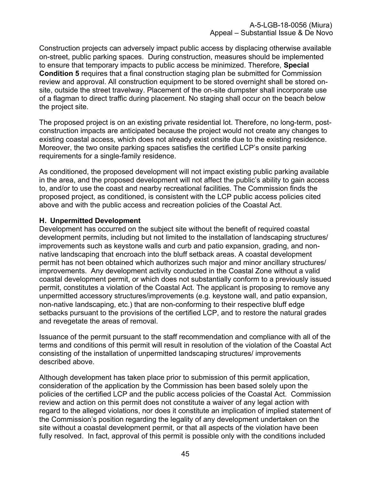Construction projects can adversely impact public access by displacing otherwise available on-street, public parking spaces. During construction, measures should be implemented to ensure that temporary impacts to public access be minimized. Therefore, **Special Condition 5** requires that a final construction staging plan be submitted for Commission review and approval. All construction equipment to be stored overnight shall be stored onsite, outside the street travelway. Placement of the on-site dumpster shall incorporate use of a flagman to direct traffic during placement. No staging shall occur on the beach below the project site.

The proposed project is on an existing private residential lot. Therefore, no long-term, postconstruction impacts are anticipated because the project would not create any changes to existing coastal access, which does not already exist onsite due to the existing residence. Moreover, the two onsite parking spaces satisfies the certified LCP's onsite parking requirements for a single-family residence.

As conditioned, the proposed development will not impact existing public parking available in the area, and the proposed development will not affect the public's ability to gain access to, and/or to use the coast and nearby recreational facilities. The Commission finds the proposed project, as conditioned, is consistent with the LCP public access policies cited above and with the public access and recreation policies of the Coastal Act.

## <span id="page-44-0"></span>**H. Unpermitted Development**

Development has occurred on the subject site without the benefit of required coastal development permits, including but not limited to the installation of landscaping structures/ improvements such as keystone walls and curb and patio expansion, grading, and nonnative landscaping that encroach into the bluff setback areas. A coastal development permit has not been obtained which authorizes such major and minor ancillary structures/ improvements. Any development activity conducted in the Coastal Zone without a valid coastal development permit, or which does not substantially conform to a previously issued permit, constitutes a violation of the Coastal Act. The applicant is proposing to remove any unpermitted accessory structures/improvements (e.g. keystone wall, and patio expansion, non-native landscaping, etc.) that are non-conforming to their respective bluff edge setbacks pursuant to the provisions of the certified LCP, and to restore the natural grades and revegetate the areas of removal.

Issuance of the permit pursuant to the staff recommendation and compliance with all of the terms and conditions of this permit will result in resolution of the violation of the Coastal Act consisting of the installation of unpermitted landscaping structures/ improvements described above.

Although development has taken place prior to submission of this permit application, consideration of the application by the Commission has been based solely upon the policies of the certified LCP and the public access policies of the Coastal Act. Commission review and action on this permit does not constitute a waiver of any legal action with regard to the alleged violations, nor does it constitute an implication of implied statement of the Commission's position regarding the legality of any development undertaken on the site without a coastal development permit, or that all aspects of the violation have been fully resolved. In fact, approval of this permit is possible only with the conditions included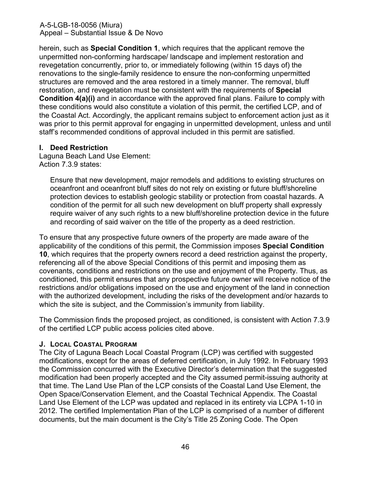herein, such as **Special Condition 1**, which requires that the applicant remove the unpermitted non-conforming hardscape/ landscape and implement restoration and revegetation concurrently, prior to, or immediately following (within 15 days of) the renovations to the single-family residence to ensure the non-conforming unpermitted structures are removed and the area restored in a timely manner. The removal, bluff restoration, and revegetation must be consistent with the requirements of **Special Condition 4(a)(i)** and in accordance with the approved final plans. Failure to comply with these conditions would also constitute a violation of this permit, the certified LCP, and of the Coastal Act. Accordingly, the applicant remains subject to enforcement action just as it was prior to this permit approval for engaging in unpermitted development, unless and until staff's recommended conditions of approval included in this permit are satisfied.

## <span id="page-45-0"></span>**I. Deed Restriction**

Laguna Beach Land Use Element: Action 7.3.9 states:

Ensure that new development, major remodels and additions to existing structures on oceanfront and oceanfront bluff sites do not rely on existing or future bluff/shoreline protection devices to establish geologic stability or protection from coastal hazards. A condition of the permit for all such new development on bluff property shall expressly require waiver of any such rights to a new bluff/shoreline protection device in the future and recording of said waiver on the title of the property as a deed restriction.

To ensure that any prospective future owners of the property are made aware of the applicability of the conditions of this permit, the Commission imposes **Special Condition 10**, which requires that the property owners record a deed restriction against the property, referencing all of the above Special Conditions of this permit and imposing them as covenants, conditions and restrictions on the use and enjoyment of the Property. Thus, as conditioned, this permit ensures that any prospective future owner will receive notice of the restrictions and/or obligations imposed on the use and enjoyment of the land in connection with the authorized development, including the risks of the development and/or hazards to which the site is subject, and the Commission's immunity from liability.

The Commission finds the proposed project, as conditioned, is consistent with Action 7.3.9 of the certified LCP public access policies cited above.

## <span id="page-45-1"></span>**J. LOCAL COASTAL PROGRAM**

The City of Laguna Beach Local Coastal Program (LCP) was certified with suggested modifications, except for the areas of deferred certification, in July 1992. In February 1993 the Commission concurred with the Executive Director's determination that the suggested modification had been properly accepted and the City assumed permit-issuing authority at that time. The Land Use Plan of the LCP consists of the Coastal Land Use Element, the Open Space/Conservation Element, and the Coastal Technical Appendix. The Coastal Land Use Element of the LCP was updated and replaced in its entirety via LCPA 1-10 in 2012. The certified Implementation Plan of the LCP is comprised of a number of different documents, but the main document is the City's Title 25 Zoning Code. The Open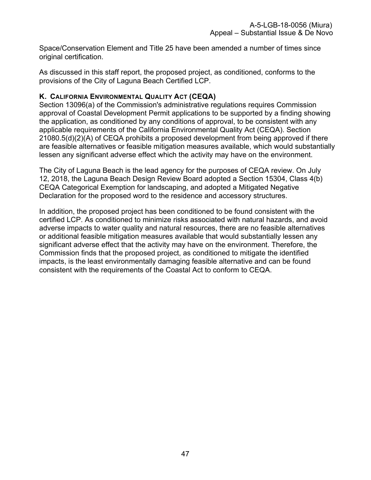Space/Conservation Element and Title 25 have been amended a number of times since original certification.

As discussed in this staff report, the proposed project, as conditioned, conforms to the provisions of the City of Laguna Beach Certified LCP.

## <span id="page-46-0"></span>**K. CALIFORNIA ENVIRONMENTAL QUALITY ACT (CEQA)**

Section 13096(a) of the Commission's administrative regulations requires Commission approval of Coastal Development Permit applications to be supported by a finding showing the application, as conditioned by any conditions of approval, to be consistent with any applicable requirements of the California Environmental Quality Act (CEQA). Section 21080.5(d)(2)(A) of CEQA prohibits a proposed development from being approved if there are feasible alternatives or feasible mitigation measures available, which would substantially lessen any significant adverse effect which the activity may have on the environment.

The City of Laguna Beach is the lead agency for the purposes of CEQA review. On July 12, 2018, the Laguna Beach Design Review Board adopted a Section 15304, Class 4(b) CEQA Categorical Exemption for landscaping, and adopted a Mitigated Negative Declaration for the proposed word to the residence and accessory structures.

In addition, the proposed project has been conditioned to be found consistent with the certified LCP. As conditioned to minimize risks associated with natural hazards, and avoid adverse impacts to water quality and natural resources, there are no feasible alternatives or additional feasible mitigation measures available that would substantially lessen any significant adverse effect that the activity may have on the environment. Therefore, the Commission finds that the proposed project, as conditioned to mitigate the identified impacts, is the least environmentally damaging feasible alternative and can be found consistent with the requirements of the Coastal Act to conform to CEQA.